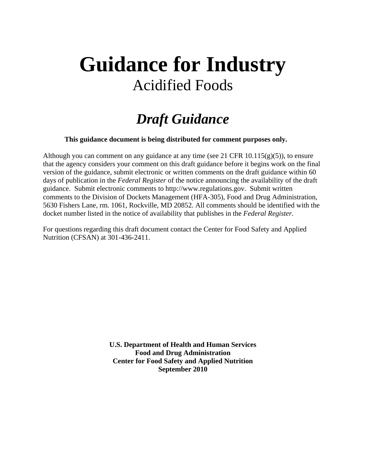# **Guidance for Industry**  Acidified Foods

# *Draft Guidance*

**This guidance document is being distributed for comment purposes only.** 

Although you can comment on any guidance at any time (see 21 CFR 10.115(g)(5)), to ensure that the agency considers your comment on this draft guidance before it begins work on the final version of the guidance, submit electronic or written comments on the draft guidance within 60 days of publication in the *Federal Register* of the notice announcing the availability of the draft guidance. Submit electronic comments to http://www.regulations.gov. Submit written comments to the Division of Dockets Management (HFA-305), Food and Drug Administration, 5630 Fishers Lane, rm. 1061, Rockville, MD 20852. All comments should be identified with the docket number listed in the notice of availability that publishes in the *Federal Register*.

For questions regarding this draft document contact the Center for Food Safety and Applied Nutrition (CFSAN) at 301-436-2411.

> **U.S. Department of Health and Human Services Food and Drug Administration Center for Food Safety and Applied Nutrition September 2010**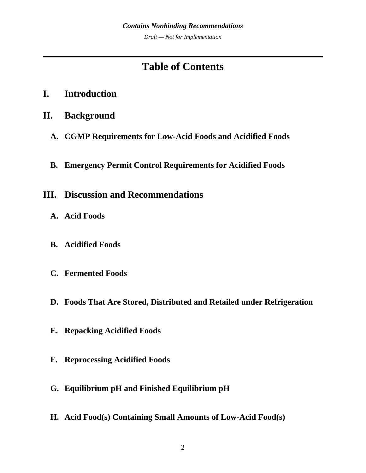*Draft — Not for Implementation* 

# **Table of Contents**

- **[I.](#page-3-0) [Introduction](#page-3-0)**
- **[II.](#page-4-0) [Background](#page-4-0)**
	- **[A.](#page-4-0) [CGMP Requirements for Low-Acid Foods and Acidified Foods](#page-4-0)**
	- **[B.](#page-5-0) [Emergency Permit Control Requirements for Acidified Foods](#page-5-0)**
- **[III.](#page-6-0) [Discussion and Recommendations](#page-6-0)**
	- **[A.](#page-6-0) [Acid Foods](#page-6-0)**
	- **[B.](#page-8-0) [Acidified Foods](#page-8-0)**
	- **[C.](#page-9-0) [Fermented Foods](#page-9-0)**
	- **[D.](#page-10-0) [Foods That Are Stored, Distributed and Retailed under Refrigeration](#page-10-0)**
	- **[E.](#page-10-0) [Repacking Acidified Foods](#page-10-0)**
	- **[F.](#page-10-0) [Reprocessing Acidified Foods](#page-10-0)**
	- **[G.](#page-10-0) [Equilibrium pH and Finished Equilibrium pH](#page-10-0)**
	- **[H.](#page-11-0) [Acid Food\(s\) Containing Small Amounts of Low-Acid Food\(s\)](#page-11-0)**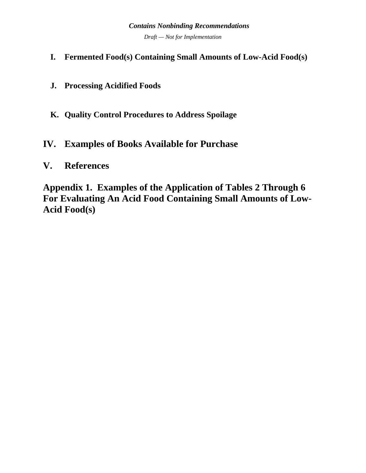# *Contains Nonbinding Recommendations Draft — Not for Implementation*

- **[I.](#page-24-0) [Fermented Food\(s\) Containing Small Amounts of Low-Acid Food\(s\)](#page-24-0)**
- **[J.](#page-25-0) [Processing Acidified Foods](#page-25-0)**
- **[K.](#page-30-0) [Quality Control Procedures to Address Spoilage](#page-30-0)**

# **[IV.](#page-31-0) [Examples of Books Available for Purchase](#page-31-0)**

# **[V.](#page-31-0) [References](#page-31-0)**

**[Appendix 1. Examples of the Application of Tables 2 Through 6](#page-33-0)  [For Evaluating An Acid Food Containing Small Amounts of Low-](#page-33-0)[Acid Food\(s\)](#page-33-0)**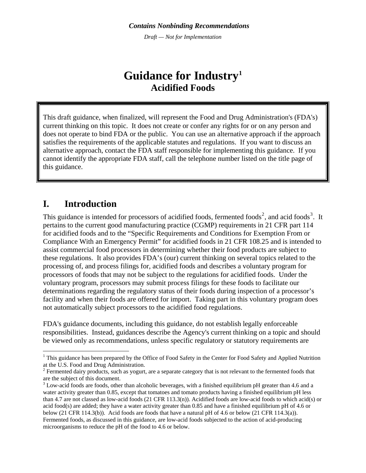*Draft — Not for Implementation*

# **Guidance for Industry[1](#page-3-1) Acidified Foods**

<span id="page-3-0"></span>This draft guidance, when finalized, will represent the Food and Drug Administration's (FDA's) current thinking on this topic. It does not create or confer any rights for or on any person and does not operate to bind FDA or the public. You can use an alternative approach if the approach satisfies the requirements of the applicable statutes and regulations. If you want to discuss an alternative approach, contact the FDA staff responsible for implementing this guidance. If you cannot identify the appropriate FDA staff, call the telephone number listed on the title page of this guidance.

# **I. Introduction**

1

This guidance is intended for processors of acidified foods, fermented foods<sup>[2](#page-3-2)</sup>, and acid foods<sup>[3](#page-3-3)</sup>. It pertains to the current good manufacturing practice (CGMP) requirements in 21 CFR part 114 for acidified foods and to the "Specific Requirements and Conditions for Exemption From or Compliance With an Emergency Permit" for acidified foods in 21 CFR 108.25 and is intended to assist commercial food processors in determining whether their food products are subject to these regulations. It also provides FDA's (our) current thinking on several topics related to the processing of, and process filings for, acidified foods and describes a voluntary program for processors of foods that may not be subject to the regulations for acidified foods. Under the voluntary program, processors may submit process filings for these foods to facilitate our determinations regarding the regulatory status of their foods during inspection of a processor's facility and when their foods are offered for import. Taking part in this voluntary program does not automatically subject processors to the acidified food regulations.

FDA's guidance documents, including this guidance, do not establish legally enforceable responsibilities. Instead, guidances describe the Agency's current thinking on a topic and should be viewed only as recommendations, unless specific regulatory or statutory requirements are

<span id="page-3-1"></span><sup>&</sup>lt;sup>1</sup> This guidance has been prepared by the Office of Food Safety in the Center for Food Safety and Applied Nutrition at the U.S. Food and Drug Administration.

<span id="page-3-2"></span> $2^2$  Fermented dairy products, such as yogurt, are a separate category that is not relevant to the fermented foods that are the subject of this document.

<span id="page-3-3"></span> $3$  Low-acid foods are foods, other than alcoholic beverages, with a finished equilibrium pH greater than 4.6 and a water activity greater than 0.85, except that tomatoes and tomato products having a finished equilibrium pH less than 4.7 are not classed as low-acid foods (21 CFR 113.3(n)). Acidified foods are low-acid foods to which acid(s) or acid food(s) are added; they have a water activity greater than 0.85 and have a finished equilibrium pH of 4.6 or below (21 CFR 114.3(b)). Acid foods are foods that have a natural pH of 4.6 or below (21 CFR 114.3(a)). Fermented foods, as discussed in this guidance, are low-acid foods subjected to the action of acid-producing microorganisms to reduce the pH of the food to 4.6 or below.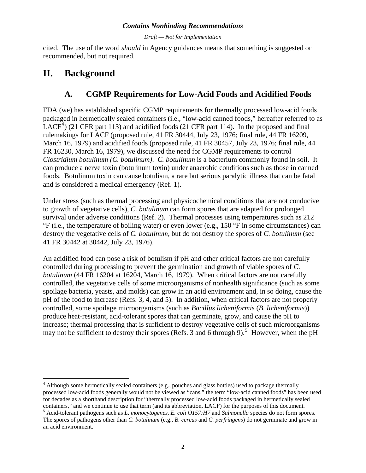*Draft — Not for Implementation* 

<span id="page-4-0"></span>cited. The use of the word *should* in Agency guidances means that something is suggested or recommended, but not required.

# **II. Background**

# **A. CGMP Requirements for Low-Acid Foods and Acidified Foods**

FDA (we) has established specific CGMP requirements for thermally processed low-acid foods packaged in hermetically sealed containers (i.e., "low-acid canned foods," hereafter referred to as LACF<sup>[4](#page-4-1)</sup>) (21 CFR part 113) and acidified foods (21 CFR part 114). In the proposed and final rulemakings for LACF (proposed rule, 41 FR 30444, July 23, 1976; final rule, 44 FR 16209, March 16, 1979) and acidified foods (proposed rule, 41 FR 30457, July 23, 1976; final rule, 44 FR 16230, March 16, 1979), we discussed the need for CGMP requirements to control *Clostridium botulinum (C. botulinum)*. *C. botulinum* is a bacterium commonly found in soil. It can produce a nerve toxin (botulinum toxin) under anaerobic conditions such as those in canned foods. Botulinum toxin can cause botulism, a rare but serious paralytic illness that can be fatal and is considered a medical emergency (Ref. 1).

Under stress (such as thermal processing and physicochemical conditions that are not conducive to growth of vegetative cells), *C. botulinum* can form spores that are adapted for prolonged survival under adverse conditions (Ref. 2). Thermal processes using temperatures such as 212  ${}^{\circ}F$  (i.e., the temperature of boiling water) or even lower (e.g., 150  ${}^{\circ}F$  in some circumstances) can destroy the vegetative cells of *C. botulinum*, but do not destroy the spores of *C. botulinum* (see 41 FR 30442 at 30442, July 23, 1976).

An acidified food can pose a risk of botulism if pH and other critical factors are not carefully controlled during processing to prevent the germination and growth of viable spores of *C. botulinum* (44 FR 16204 at 16204, March 16, 1979). When critical factors are not carefully controlled, the vegetative cells of some microorganisms of nonhealth significance (such as some spoilage bacteria, yeasts, and molds) can grow in an acid environment and, in so doing, cause the pH of the food to increase (Refs. 3, 4, and 5). In addition, when critical factors are not properly controlled, some spoilage microorganisms (such as *Bacillus licheniformis* (*B. licheniformis*)) produce heat-resistant, acid-tolerant spores that can germinate, grow, and cause the pH to increase; thermal processing that is sufficient to destroy vegetative cells of such microorganisms may not be sufficient to destroy their spores (Refs. 3 and 6 through 9).<sup>[5](#page-4-2)</sup> However, when the pH

<span id="page-4-1"></span> $\overline{a}$ <sup>4</sup> Although some hermetically sealed containers (e.g., pouches and glass bottles) used to package thermally processed low-acid foods generally would not be viewed as "cans," the term "low-acid canned foods" has been used for decades as a shorthand description for "thermally processed low-acid foods packaged in hermetically sealed containers," and we continue to use that term (and its abbreviation, LACF) for the purposes of this document.<br><sup>5</sup> Acid-tolerant pathogens such as *L. monocytogenes, E. coli O157:H7* and *Salmonella* species do not form sp

<span id="page-4-2"></span>The spores of pathogens other than *C. botulinum* (e.g., *B. cereus* and *C. perfringens*) do not germinate and grow in an acid environment.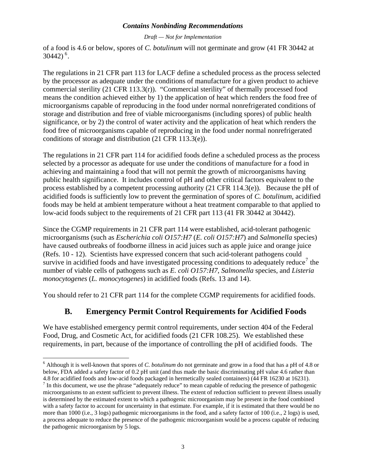*Draft — Not for Implementation* 

<span id="page-5-0"></span>of a food is 4.6 or below, spores of *C. botulinum* will not germinate and grow (41 FR 30442 at  $30442)^{6}$  $30442)^{6}$  $30442)^{6}$ .

The regulations in 21 CFR part 113 for LACF define a scheduled process as the process selected by the processor as adequate under the conditions of manufacture for a given product to achieve commercial sterility (21 CFR 113.3(r)). "Commercial sterility" of thermally processed food means the condition achieved either by 1) the application of heat which renders the food free of microorganisms capable of reproducing in the food under normal nonrefrigerated conditions of storage and distribution and free of viable microorganisms (including spores) of public health significance, or by 2) the control of water activity and the application of heat which renders the food free of microorganisms capable of reproducing in the food under normal nonrefrigerated conditions of storage and distribution (21 CFR 113.3(e)).

The regulations in 21 CFR part 114 for acidified foods define a scheduled process as the process selected by a processor as adequate for use under the conditions of manufacture for a food in achieving and maintaining a food that will not permit the growth of microorganisms having public health significance. It includes control of pH and other critical factors equivalent to the process established by a competent processing authority  $(21 \text{ CFR } 114.3(e))$ . Because the pH of acidified foods is sufficiently low to prevent the germination of spores of *C. botulinum*, acidified foods may be held at ambient temperature without a heat treatment comparable to that applied to low-acid foods subject to the requirements of 21 CFR part 113 (41 FR 30442 at 30442).

Since the CGMP requirements in 21 CFR part 114 were established, acid-tolerant pathogenic microorganisms (such as *Escherichia coli O157:H7* (*E. coli O157:H7*) and *Salmonella* species) have caused outbreaks of foodborne illness in acid juices such as apple juice and orange juice (Refs. 10 - 12). Scientists have expressed concern that such acid-tolerant pathogens could survive in acidified foods and have investigated processing conditions to adequately reduce<sup>[7](#page-5-2)</sup> the number of viable cells of pathogens such as *E. coli O157:H7*, *Salmonella* species, and *Listeria monocytogenes* (*L. monocytogenes*) in acidified foods (Refs. 13 and 14).

You should refer to 21 CFR part 114 for the complete CGMP requirements for acidified foods.

# **B. Emergency Permit Control Requirements for Acidified Foods**

We have established emergency permit control requirements, under section 404 of the Federal Food, Drug, and Cosmetic Act, for acidified foods (21 CFR 108.25). We established these requirements, in part, because of the importance of controlling the pH of acidified foods. The

 $\overline{a}$ 

<span id="page-5-1"></span><sup>6</sup> Although it is well-known that spores of *C. botulinum* do not germinate and grow in a food that has a pH of 4.8 or below, FDA added a safety factor of 0.2 pH unit (and thus made the basic discriminating pH value 4.6 rather than 4.8 for acidified foods and low-acid foods packaged in hermetically sealed containers) (44 FR 16230 at 16231). 7

<span id="page-5-2"></span> $<sup>7</sup>$  In this document, we use the phrase "adequately reduce" to mean capable of reducing the presence of pathogenic</sup> microorganisms to an extent sufficient to prevent illness. The extent of reduction sufficient to prevent illness usually is determined by the estimated extent to which a pathogenic microorganism may be present in the food combined with a safety factor to account for uncertainty in that estimate. For example, if it is estimated that there would be no more than 1000 (i.e., 3 logs) pathogenic microorganisms in the food, and a safety factor of 100 (i.e., 2 logs) is used, a process adequate to reduce the presence of the pathogenic microorganism would be a process capable of reducing the pathogenic microorganism by 5 logs.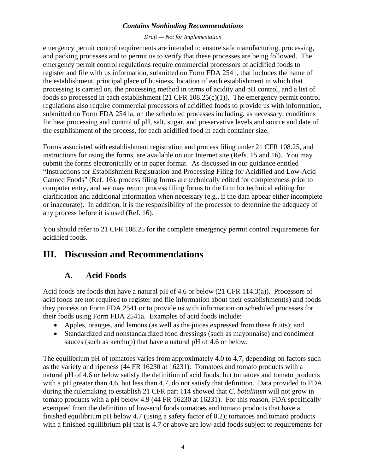#### *Draft — Not for Implementation*

<span id="page-6-0"></span>emergency permit control requirements are intended to ensure safe manufacturing, processing, and packing processes and to permit us to verify that these processes are being followed. The emergency permit control regulations require commercial processors of acidified foods to register and file with us information, submitted on Form FDA 2541, that includes the name of the establishment, principal place of business, location of each establishment in which that processing is carried on, the processing method in terms of acidity and pH control, and a list of foods so processed in each establishment (21 CFR 108.25(c)(1)). The emergency permit control regulations also require commercial processors of acidified foods to provide us with information, submitted on Form FDA 2541a, on the scheduled processes including, as necessary, conditions for heat processing and control of pH, salt, sugar, and preservative levels and source and date of the establishment of the process, for each acidified food in each container size.

Forms associated with establishment registration and process filing under 21 CFR 108.25, and instructions for using the forms, are available on our Internet site (Refs. 15 and 16). You may submit the forms electronically or in paper format. As discussed in our guidance entitled "Instructions for Establishment Registration and Processing Filing for Acidified and Low-Acid Canned Foods" (Ref. 16), process filing forms are technically edited for completeness prior to computer entry, and we may return process filing forms to the firm for technical editing for clarification and additional information when necessary (e.g., if the data appear either incomplete or inaccurate). In addition, it is the responsibility of the processor to determine the adequacy of any process before it is used (Ref. 16).

You should refer to 21 CFR 108.25 for the complete emergency permit control requirements for acidified foods.

# **III. Discussion and Recommendations**

# **A. Acid Foods**

Acid foods are foods that have a natural pH of 4.6 or below (21 CFR 114.3(a)). Processors of acid foods are not required to register and file information about their establishment(s) and foods they process on Form FDA 2541 or to provide us with information on scheduled processes for their foods using Form FDA 2541a. Examples of acid foods include:

- Apples, oranges, and lemons (as well as the juices expressed from these fruits); and
- Standardized and nonstandardized food dressings (such as mayonnaise) and condiment sauces (such as ketchup) that have a natural pH of 4.6 or below.

The equilibrium pH of tomatoes varies from approximately 4.0 to 4.7, depending on factors such as the variety and ripeness (44 FR 16230 at 16231). Tomatoes and tomato products with a natural pH of 4.6 or below satisfy the definition of acid foods, but tomatoes and tomato products with a pH greater than 4.6, but less than 4.7, do not satisfy that definition. Data provided to FDA during the rulemaking to establish 21 CFR part 114 showed that *C. botulinum* will not grow in tomato products with a pH below 4.9 (44 FR 16230 at 16231). For this reason, FDA specifically exempted from the definition of low-acid foods tomatoes and tomato products that have a finished equilibrium pH below 4.7 (using a safety factor of 0.2); tomatoes and tomato products with a finished equilibrium pH that is 4.7 or above are low-acid foods subject to requirements for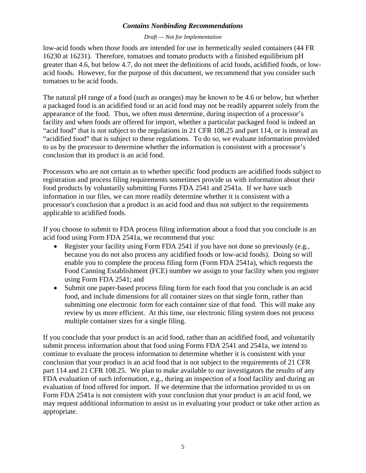#### *Draft — Not for Implementation*

low-acid foods when those foods are intended for use in hermetically sealed containers (44 FR 16230 at 16231). Therefore, tomatoes and tomato products with a finished equilibrium pH greater than 4.6, but below 4.7, do not meet the definitions of acid foods, acidified foods, or lowacid foods. However, for the purpose of this document, we recommend that you consider such tomatoes to be acid foods.

The natural pH range of a food (such as oranges) may be known to be 4.6 or below, but whether a packaged food is an acidified food or an acid food may not be readily apparent solely from the appearance of the food. Thus, we often must determine, during inspection of a processor's facility and when foods are offered for import, whether a particular packaged food is indeed an "acid food" that is not subject to the regulations in 21 CFR 108.25 and part 114, or is instead an "acidified food" that is subject to these regulations. To do so, we evaluate information provided to us by the processor to determine whether the information is consistent with a processor's conclusion that its product is an acid food.

Processors who are not certain as to whether specific food products are acidified foods subject to registration and process filing requirements sometimes provide us with information about their food products by voluntarily submitting Forms FDA 2541 and 2541a. If we have such information in our files, we can more readily determine whether it is consistent with a processor's conclusion that a product is an acid food and thus not subject to the requirements applicable to acidified foods.

If you choose to submit to FDA process filing information about a food that you conclude is an acid food using Form FDA 2541a, we recommend that you:

- Register your facility using Form FDA 2541 if you have not done so previously (e.g., because you do not also process any acidified foods or low-acid foods). Doing so will enable you to complete the process filing form (Form FDA 2541a), which requests the Food Canning Establishment (FCE) number we assign to your facility when you register using Form FDA 2541; and
- Submit one paper-based process filing form for each food that you conclude is an acid food, and include dimensions for all container sizes on that single form, rather than submitting one electronic form for each container size of that food. This will make any review by us more efficient. At this time, our electronic filing system does not process multiple container sizes for a single filing.

If you conclude that your product is an acid food, rather than an acidified food, and voluntarily submit process information about that food using Forms FDA 2541 and 2541a, we intend to continue to evaluate the process information to determine whether it is consistent with your conclusion that your product is an acid food that is not subject to the requirements of 21 CFR part 114 and 21 CFR 108.25. We plan to make available to our investigators the results of any FDA evaluation of such information, e.g., during an inspection of a food facility and during an evaluation of food offered for import. If we determine that the information provided to us on Form FDA 2541a is not consistent with your conclusion that your product is an acid food, we may request additional information to assist us in evaluating your product or take other action as appropriate.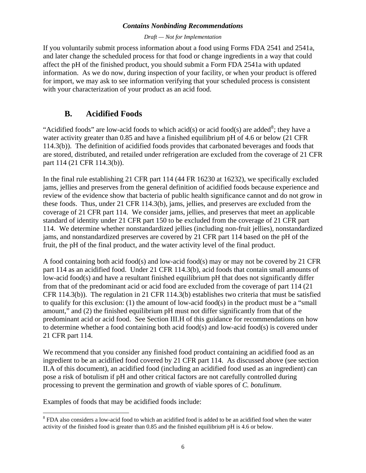#### *Draft — Not for Implementation*

<span id="page-8-0"></span>If you voluntarily submit process information about a food using Forms FDA 2541 and 2541a, and later change the scheduled process for that food or change ingredients in a way that could affect the pH of the finished product, you should submit a Form FDA 2541a with updated information. As we do now, during inspection of your facility, or when your product is offered for import, we may ask to see information verifying that your scheduled process is consistent with your characterization of your product as an acid food.

# **B. Acidified Foods**

"Acidified foods" are low-acid foods to which acid(s) or acid food(s) are added<sup>[8](#page-8-1)</sup>; they have a water activity greater than 0.85 and have a finished equilibrium pH of 4.6 or below (21 CFR 114.3(b)). The definition of acidified foods provides that carbonated beverages and foods that are stored, distributed, and retailed under refrigeration are excluded from the coverage of 21 CFR part 114 (21 CFR 114.3(b)).

In the final rule establishing 21 CFR part 114 (44 FR 16230 at 16232), we specifically excluded jams, jellies and preserves from the general definition of acidified foods because experience and review of the evidence show that bacteria of public health significance cannot and do not grow in these foods. Thus, under 21 CFR 114.3(b), jams, jellies, and preserves are excluded from the coverage of 21 CFR part 114. We consider jams, jellies, and preserves that meet an applicable standard of identity under 21 CFR part 150 to be excluded from the coverage of 21 CFR part 114. We determine whether nonstandardized jellies (including non-fruit jellies), nonstandardized jams, and nonstandardized preserves are covered by 21 CFR part 114 based on the pH of the fruit, the pH of the final product, and the water activity level of the final product.

A food containing both acid food(s) and low-acid food(s) may or may not be covered by 21 CFR part 114 as an acidified food. Under 21 CFR 114.3(b), acid foods that contain small amounts of low-acid food(s) and have a resultant finished equilibrium pH that does not significantly differ from that of the predominant acid or acid food are excluded from the coverage of part 114 (21 CFR 114.3(b)). The regulation in 21 CFR 114.3(b) establishes two criteria that must be satisfied to qualify for this exclusion: (1) the amount of low-acid food(s) in the product must be a "small amount," and (2) the finished equilibrium pH must not differ significantly from that of the predominant acid or acid food. See Section III.H of this guidance for recommendations on how to determine whether a food containing both acid food(s) and low-acid food(s) is covered under 21 CFR part 114.

We recommend that you consider any finished food product containing an acidified food as an ingredient to be an acidified food covered by 21 CFR part 114. As discussed above (see section II.A of this document), an acidified food (including an acidified food used as an ingredient) can pose a risk of botulism if pH and other critical factors are not carefully controlled during processing to prevent the germination and growth of viable spores of *C. botulinum*.

Examples of foods that may be acidified foods include:

1

<span id="page-8-1"></span><sup>&</sup>lt;sup>8</sup> FDA also considers a low-acid food to which an acidified food is added to be an acidified food when the water activity of the finished food is greater than 0.85 and the finished equilibrium pH is 4.6 or below.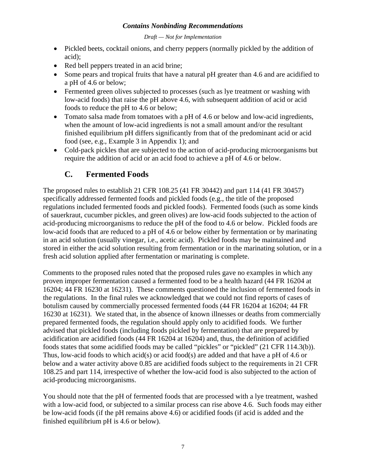#### *Draft — Not for Implementation*

- <span id="page-9-0"></span>• Pickled beets, cocktail onions, and cherry peppers (normally pickled by the addition of acid);
- Red bell peppers treated in an acid brine;
- Some pears and tropical fruits that have a natural pH greater than 4.6 and are acidified to a pH of 4.6 or below;
- Fermented green olives subjected to processes (such as lye treatment or washing with low-acid foods) that raise the pH above 4.6, with subsequent addition of acid or acid foods to reduce the pH to 4.6 or below;
- Tomato salsa made from tomatoes with a pH of 4.6 or below and low-acid ingredients, when the amount of low-acid ingredients is not a small amount and/or the resultant finished equilibrium pH differs significantly from that of the predominant acid or acid food (see, e.g., Example 3 in Appendix 1); and
- Cold-pack pickles that are subjected to the action of acid-producing microorganisms but require the addition of acid or an acid food to achieve a pH of 4.6 or below.

# **C. Fermented Foods**

The proposed rules to establish 21 CFR 108.25 (41 FR 30442) and part 114 (41 FR 30457) specifically addressed fermented foods and pickled foods (e.g., the title of the proposed regulations included fermented foods and pickled foods). Fermented foods (such as some kinds of sauerkraut, cucumber pickles, and green olives) are low-acid foods subjected to the action of acid-producing microorganisms to reduce the pH of the food to 4.6 or below. Pickled foods are low-acid foods that are reduced to a pH of 4.6 or below either by fermentation or by marinating in an acid solution (usually vinegar, i.e., acetic acid). Pickled foods may be maintained and stored in either the acid solution resulting from fermentation or in the marinating solution, or in a fresh acid solution applied after fermentation or marinating is complete.

Comments to the proposed rules noted that the proposed rules gave no examples in which any proven improper fermentation caused a fermented food to be a health hazard (44 FR 16204 at 16204; 44 FR 16230 at 16231). These comments questioned the inclusion of fermented foods in the regulations. In the final rules we acknowledged that we could not find reports of cases of botulism caused by commercially processed fermented foods (44 FR 16204 at 16204; 44 FR 16230 at 16231). We stated that, in the absence of known illnesses or deaths from commercially prepared fermented foods, the regulation should apply only to acidified foods. We further advised that pickled foods (including foods pickled by fermentation) that are prepared by acidification are acidified foods (44 FR 16204 at 16204) and, thus, the definition of acidified foods states that some acidified foods may be called "pickles" or "pickled" (21 CFR 114.3(b)). Thus, low-acid foods to which acid(s) or acid food(s) are added and that have a pH of 4.6 or below and a water activity above 0.85 are acidified foods subject to the requirements in 21 CFR 108.25 and part 114, irrespective of whether the low-acid food is also subjected to the action of acid-producing microorganisms.

You should note that the pH of fermented foods that are processed with a lye treatment, washed with a low-acid food, or subjected to a similar process can rise above 4.6. Such foods may either be low-acid foods (if the pH remains above 4.6) or acidified foods (if acid is added and the finished equilibrium pH is 4.6 or below).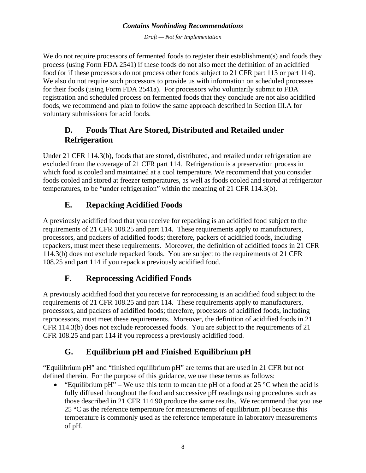*Draft — Not for Implementation* 

<span id="page-10-0"></span>We do not require processors of fermented foods to register their establishment(s) and foods they process (using Form FDA 2541) if these foods do not also meet the definition of an acidified food (or if these processors do not process other foods subject to 21 CFR part 113 or part 114). We also do not require such processors to provide us with information on scheduled processes for their foods (using Form FDA 2541a). For processors who voluntarily submit to FDA registration and scheduled process on fermented foods that they conclude are not also acidified foods, we recommend and plan to follow the same approach described in Section III.A for voluntary submissions for acid foods.

# **D. Foods That Are Stored, Distributed and Retailed under Refrigeration**

Under 21 CFR 114.3(b), foods that are stored, distributed, and retailed under refrigeration are excluded from the coverage of 21 CFR part 114. Refrigeration is a preservation process in which food is cooled and maintained at a cool temperature. We recommend that you consider foods cooled and stored at freezer temperatures, as well as foods cooled and stored at refrigerator temperatures, to be "under refrigeration" within the meaning of 21 CFR 114.3(b).

# **E. Repacking Acidified Foods**

A previously acidified food that you receive for repacking is an acidified food subject to the requirements of 21 CFR 108.25 and part 114. These requirements apply to manufacturers, processors, and packers of acidified foods; therefore, packers of acidified foods, including repackers, must meet these requirements. Moreover, the definition of acidified foods in 21 CFR 114.3(b) does not exclude repacked foods. You are subject to the requirements of 21 CFR 108.25 and part 114 if you repack a previously acidified food.

# **F. Reprocessing Acidified Foods**

A previously acidified food that you receive for reprocessing is an acidified food subject to the requirements of 21 CFR 108.25 and part 114. These requirements apply to manufacturers, processors, and packers of acidified foods; therefore, processors of acidified foods, including reprocessors, must meet these requirements. Moreover, the definition of acidified foods in 21 CFR 114.3(b) does not exclude reprocessed foods. You are subject to the requirements of 21 CFR 108.25 and part 114 if you reprocess a previously acidified food.

# **G. Equilibrium pH and Finished Equilibrium pH**

"Equilibrium pH" and "finished equilibrium pH" are terms that are used in 21 CFR but not defined therein. For the purpose of this guidance, we use these terms as follows:

"Equilibrium pH" – We use this term to mean the pH of a food at 25  $\degree$ C when the acid is fully diffused throughout the food and successive pH readings using procedures such as those described in 21 CFR 114.90 produce the same results. We recommend that you use  $25 \text{ °C}$  as the reference temperature for measurements of equilibrium pH because this temperature is commonly used as the reference temperature in laboratory measurements of pH.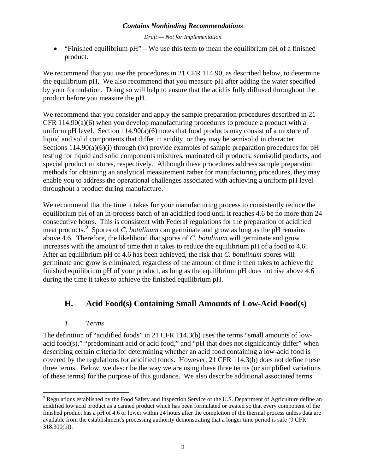*Draft — Not for Implementation* 

<span id="page-11-0"></span>• "Finished equilibrium pH" – We use this term to mean the equilibrium pH of a finished product.

We recommend that you use the procedures in 21 CFR 114.90, as described below, to determine the equilibrium pH. We also recommend that you measure pH after adding the water specified by your formulation. Doing so will help to ensure that the acid is fully diffused throughout the product before you measure the pH.

We recommend that you consider and apply the sample preparation procedures described in 21 CFR  $114.90(a)(6)$  when you develop manufacturing procedures to produce a product with a uniform pH level. Section  $114.90(a)(6)$  notes that food products may consist of a mixture of liquid and solid components that differ in acidity, or they may be semisolid in character. Sections 114.90(a)(6)(i) through (iv) provide examples of sample preparation procedures for pH testing for liquid and solid components mixtures, marinated oil products, semisolid products, and special product mixtures, respectively. Although these procedures address sample preparation methods for obtaining an analytical measurement rather for manufacturing procedures, they may enable you to address the operational challenges associated with achieving a uniform pH level throughout a product during manufacture.

We recommend that the time it takes for your manufacturing process to consistently reduce the equilibrium pH of an in-process batch of an acidified food until it reaches 4.6 be no more than 24 consecutive hours. This is consistent with Federal regulations for the preparation of acidified meat products.<sup>[9](#page-11-1)</sup> Spores of *C. botulinum* can germinate and grow as long as the pH remains above 4.6. Therefore, the likelihood that spores of *C. botulinum* will germinate and grow increases with the amount of time that it takes to reduce the equilibrium pH of a food to 4.6. After an equilibrium pH of 4.6 has been achieved, the risk that *C. botulinum* spores will germinate and grow is eliminated, regardless of the amount of time it then takes to achieve the finished equilibrium pH of your product, as long as the equilibrium pH does not rise above 4.6 during the time it takes to achieve the finished equilibrium pH.

# **H. Acid Food(s) Containing Small Amounts of Low-Acid Food(s)**

# *1. Terms*

 $\overline{a}$ 

The definition of "acidified foods" in 21 CFR 114.3(b) uses the terms "small amounts of lowacid food(s)," "predominant acid or acid food," and "pH that does not significantly differ" when describing certain criteria for determining whether an acid food containing a low-acid food is covered by the regulations for acidified foods. However, 21 CFR 114.3(b) does not define these three terms. Below, we describe the way we are using these three terms (or simplified variations of these terms) for the purpose of this guidance. We also describe additional associated terms

<span id="page-11-1"></span> $9$  Regulations established by the Food Safety and Inspection Service of the U.S. Department of Agriculture define an acidified low acid product as a canned product which has been formulated or treated so that every component of the finished product has a pH of 4.6 or lower within 24 hours after the completion of the thermal process unless data are available from the establishment's processing authority demonstrating that a longer time period is safe (9 CFR 318.300(b)).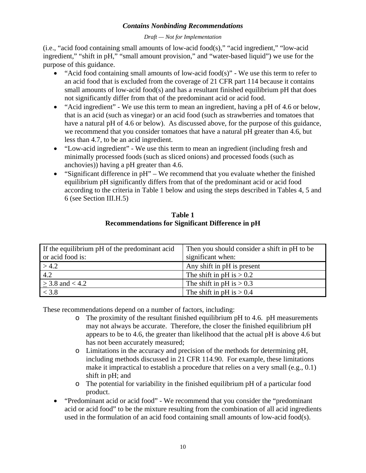*Draft — Not for Implementation* 

(i.e., "acid food containing small amounts of low-acid food(s)," "acid ingredient," "low-acid ingredient," "shift in pH," "small amount provision," and "water-based liquid") we use for the purpose of this guidance.

- "Acid food containing small amounts of low-acid food(s)" We use this term to refer to an acid food that is excluded from the coverage of 21 CFR part 114 because it contains small amounts of low-acid food(s) and has a resultant finished equilibrium pH that does not significantly differ from that of the predominant acid or acid food.
- "Acid ingredient" We use this term to mean an ingredient, having a pH of 4.6 or below, that is an acid (such as vinegar) or an acid food (such as strawberries and tomatoes that have a natural pH of 4.6 or below). As discussed above, for the purpose of this guidance, we recommend that you consider tomatoes that have a natural pH greater than 4.6, but less than 4.7, to be an acid ingredient.
- "Low-acid ingredient" We use this term to mean an ingredient (including fresh and minimally processed foods (such as sliced onions) and processed foods (such as anchovies)) having a pH greater than 4.6.
- "Significant difference in pH" We recommend that you evaluate whether the finished equilibrium pH significantly differs from that of the predominant acid or acid food according to the criteria in Table 1 below and using the steps described in Tables 4, 5 and 6 (see Section III.H.5)

| Table 1                                                 |
|---------------------------------------------------------|
| <b>Recommendations for Significant Difference in pH</b> |

| If the equilibrium pH of the predominant acid<br>or acid food is: | Then you should consider a shift in pH to be<br>significant when: |
|-------------------------------------------------------------------|-------------------------------------------------------------------|
| > 4.2                                                             | Any shift in pH is present                                        |
| $\overline{4.2}$                                                  | The shift in pH is $> 0.2$                                        |
| $>$ 3.8 and < 4.2                                                 | The shift in pH is $> 0.3$                                        |
| < 3.8                                                             | The shift in pH is $> 0.4$                                        |

These recommendations depend on a number of factors, including:

- o The proximity of the resultant finished equilibrium pH to 4.6. pH measurements may not always be accurate. Therefore, the closer the finished equilibrium pH appears to be to 4.6, the greater than likelihood that the actual pH is above 4.6 but has not been accurately measured;
- o Limitations in the accuracy and precision of the methods for determining pH, including methods discussed in 21 CFR 114.90. For example, these limitations make it impractical to establish a procedure that relies on a very small (e.g., 0.1) shift in pH; and
- o The potential for variability in the finished equilibrium pH of a particular food product.
- "Predominant acid or acid food" We recommend that you consider the "predominant acid or acid food" to be the mixture resulting from the combination of all acid ingredients used in the formulation of an acid food containing small amounts of low-acid food(s).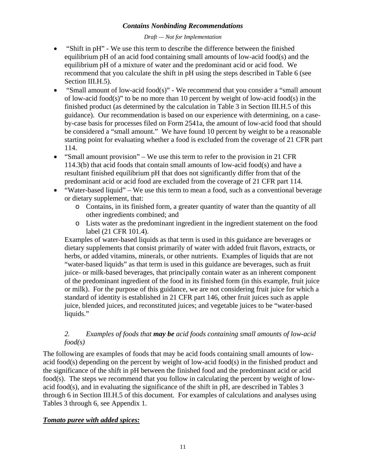#### *Draft — Not for Implementation*

- "Shift in pH" We use this term to describe the difference between the finished equilibrium pH of an acid food containing small amounts of low-acid food(s) and the equilibrium pH of a mixture of water and the predominant acid or acid food. We recommend that you calculate the shift in pH using the steps described in Table 6 (see Section III.H.5).
- "Small amount of low-acid food(s)" We recommend that you consider a "small amount" of low-acid food(s)" to be no more than 10 percent by weight of low-acid food(s) in the finished product (as determined by the calculation in Table 3 in Section III.H.5 of this guidance). Our recommendation is based on our experience with determining, on a caseby-case basis for processes filed on Form 2541a, the amount of low-acid food that should be considered a "small amount." We have found 10 percent by weight to be a reasonable starting point for evaluating whether a food is excluded from the coverage of 21 CFR part 114.
- "Small amount provision" We use this term to refer to the provision in 21 CFR 114.3(b) that acid foods that contain small amounts of low-acid food(s) and have a resultant finished equilibrium pH that does not significantly differ from that of the predominant acid or acid food are excluded from the coverage of 21 CFR part 114.
- "Water-based liquid" We use this term to mean a food, such as a conventional beverage or dietary supplement, that:
	- o Contains, in its finished form, a greater quantity of water than the quantity of all other ingredients combined; and
	- o Lists water as the predominant ingredient in the ingredient statement on the food label (21 CFR 101.4).

Examples of water-based liquids as that term is used in this guidance are beverages or dietary supplements that consist primarily of water with added fruit flavors, extracts, or herbs, or added vitamins, minerals, or other nutrients. Examples of liquids that are not "water-based liquids" as that term is used in this guidance are beverages, such as fruit juice- or milk-based beverages, that principally contain water as an inherent component of the predominant ingredient of the food in its finished form (in this example, fruit juice or milk). For the purpose of this guidance, we are not considering fruit juice for which a standard of identity is established in 21 CFR part 146, other fruit juices such as apple juice, blended juices, and reconstituted juices; and vegetable juices to be "water-based liquids."

# *2. Examples of foods that may be acid foods containing small amounts of low-acid food(s)*

The following are examples of foods that may be acid foods containing small amounts of lowacid food(s) depending on the percent by weight of low-acid food(s) in the finished product and the significance of the shift in pH between the finished food and the predominant acid or acid food(s). The steps we recommend that you follow in calculating the percent by weight of lowacid food(s), and in evaluating the significance of the shift in pH, are described in Tables 3 through 6 in Section III.H.5 of this document. For examples of calculations and analyses using Tables 3 through 6, see Appendix 1.

# *Tomato puree with added spices:*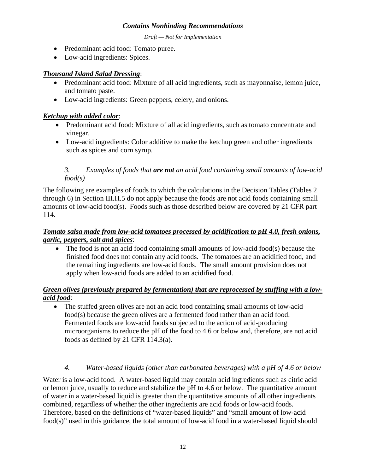*Draft — Not for Implementation* 

- Predominant acid food: Tomato puree.
- Low-acid ingredients: Spices.

#### *Thousand Island Salad Dressing*:

- Predominant acid food: Mixture of all acid ingredients, such as mayonnaise, lemon juice, and tomato paste.
- Low-acid ingredients: Green peppers, celery, and onions.

# *Ketchup with added color*:

- Predominant acid food: Mixture of all acid ingredients, such as tomato concentrate and vinegar.
- Low-acid ingredients: Color additive to make the ketchup green and other ingredients such as spices and corn syrup.

## *3. Examples of foods that are not an acid food containing small amounts of low-acid food(s)*

The following are examples of foods to which the calculations in the Decision Tables (Tables 2 through 6) in Section III.H.5 do not apply because the foods are not acid foods containing small amounts of low-acid food(s). Foods such as those described below are covered by 21 CFR part 114.

## *Tomato salsa made from low-acid tomatoes processed by acidification to pH 4.0, fresh onions, garlic, peppers, salt and spices*:

• The food is not an acid food containing small amounts of low-acid food(s) because the finished food does not contain any acid foods. The tomatoes are an acidified food, and the remaining ingredients are low-acid foods. The small amount provision does not apply when low-acid foods are added to an acidified food.

# *Green olives (previously prepared by fermentation) that are reprocessed by stuffing with a lowacid food*:

• The stuffed green olives are not an acid food containing small amounts of low-acid food(s) because the green olives are a fermented food rather than an acid food. Fermented foods are low-acid foods subjected to the action of acid-producing microorganisms to reduce the pH of the food to 4.6 or below and, therefore, are not acid foods as defined by 21 CFR 114.3(a).

#### *4. Water-based liquids (other than carbonated beverages) with a pH of 4.6 or below*

Water is a low-acid food. A water-based liquid may contain acid ingredients such as citric acid or lemon juice, usually to reduce and stabilize the pH to 4.6 or below. The quantitative amount of water in a water-based liquid is greater than the quantitative amounts of all other ingredients combined, regardless of whether the other ingredients are acid foods or low-acid foods. Therefore, based on the definitions of "water-based liquids" and "small amount of low-acid food(s)" used in this guidance, the total amount of low-acid food in a water-based liquid should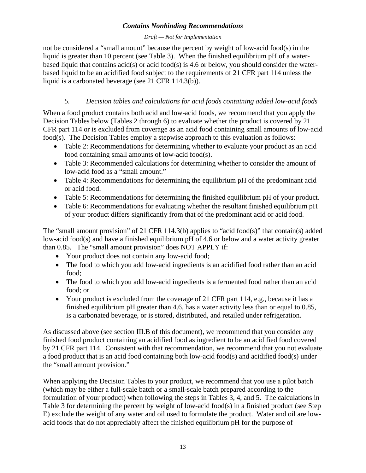#### *Draft — Not for Implementation*

not be considered a "small amount" because the percent by weight of low-acid food(s) in the liquid is greater than 10 percent (see Table 3). When the finished equilibrium pH of a waterbased liquid that contains acid(s) or acid food(s) is 4.6 or below, you should consider the waterbased liquid to be an acidified food subject to the requirements of 21 CFR part 114 unless the liquid is a carbonated beverage (see 21 CFR 114.3(b)).

# *5. Decision tables and calculations for acid foods containing added low-acid foods*

When a food product contains both acid and low-acid foods, we recommend that you apply the Decision Tables below (Tables 2 through 6) to evaluate whether the product is covered by 21 CFR part 114 or is excluded from coverage as an acid food containing small amounts of low-acid food(s). The Decision Tables employ a stepwise approach to this evaluation as follows:

- Table 2: Recommendations for determining whether to evaluate your product as an acid food containing small amounts of low-acid food(s).
- Table 3: Recommended calculations for determining whether to consider the amount of low-acid food as a "small amount."
- Table 4: Recommendations for determining the equilibrium pH of the predominant acid or acid food.
- Table 5: Recommendations for determining the finished equilibrium pH of your product.
- Table 6: Recommendations for evaluating whether the resultant finished equilibrium pH of your product differs significantly from that of the predominant acid or acid food.

The "small amount provision" of 21 CFR 114.3(b) applies to "acid food(s)" that contain(s) added low-acid food(s) and have a finished equilibrium pH of 4.6 or below and a water activity greater than 0.85. The "small amount provision" does NOT APPLY if:

- Your product does not contain any low-acid food;
- The food to which you add low-acid ingredients is an acidified food rather than an acid food;
- The food to which you add low-acid ingredients is a fermented food rather than an acid food; or
- Your product is excluded from the coverage of 21 CFR part 114, e.g., because it has a finished equilibrium pH greater than 4.6, has a water activity less than or equal to 0.85, is a carbonated beverage, or is stored, distributed, and retailed under refrigeration.

As discussed above (see section III.B of this document), we recommend that you consider any finished food product containing an acidified food as ingredient to be an acidified food covered by 21 CFR part 114. Consistent with that recommendation, we recommend that you not evaluate a food product that is an acid food containing both low-acid food(s) and acidified food(s) under the "small amount provision."

When applying the Decision Tables to your product, we recommend that you use a pilot batch (which may be either a full-scale batch or a small-scale batch prepared according to the formulation of your product) when following the steps in Tables 3, 4, and 5. The calculations in Table 3 for determining the percent by weight of low-acid food(s) in a finished product (see Step E) exclude the weight of any water and oil used to formulate the product. Water and oil are lowacid foods that do not appreciably affect the finished equilibrium pH for the purpose of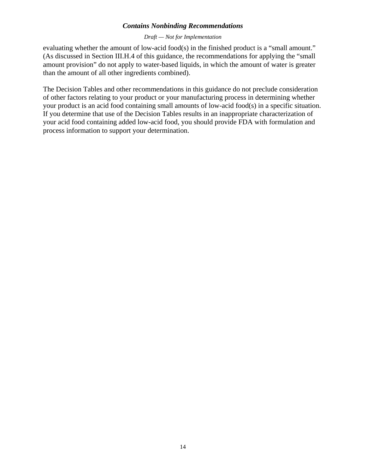#### *Draft — Not for Implementation*

evaluating whether the amount of low-acid food(s) in the finished product is a "small amount." (As discussed in Section III.H.4 of this guidance, the recommendations for applying the "small amount provision" do not apply to water-based liquids, in which the amount of water is greater than the amount of all other ingredients combined).

The Decision Tables and other recommendations in this guidance do not preclude consideration of other factors relating to your product or your manufacturing process in determining whether your product is an acid food containing small amounts of low-acid food(s) in a specific situation. If you determine that use of the Decision Tables results in an inappropriate characterization of your acid food containing added low-acid food, you should provide FDA with formulation and process information to support your determination.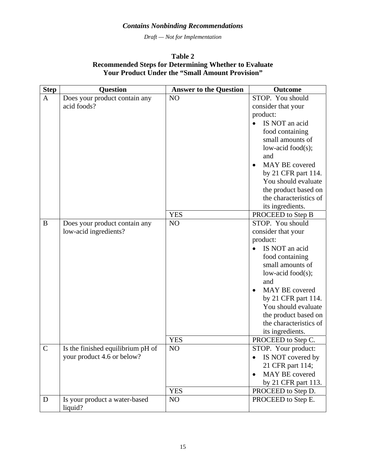*Draft — Not for Implementation* 

## **Table 2 Recommended Steps for Determining Whether to Evaluate Your Product Under the "Small Amount Provision"**

| <b>Step</b>   | <b>Question</b>                          | <b>Answer to the Question</b> | <b>Outcome</b>              |
|---------------|------------------------------------------|-------------------------------|-----------------------------|
| $\mathbf{A}$  | Does your product contain any            | NO                            | STOP. You should            |
|               | acid foods?                              |                               | consider that your          |
|               |                                          |                               | product:                    |
|               |                                          |                               | IS NOT an acid              |
|               |                                          |                               | food containing             |
|               |                                          |                               | small amounts of            |
|               |                                          |                               | low-acid food $(s)$ ;       |
|               |                                          |                               | and                         |
|               |                                          |                               | MAY BE covered<br>$\bullet$ |
|               |                                          |                               | by 21 CFR part 114.         |
|               |                                          |                               | You should evaluate         |
|               |                                          |                               | the product based on        |
|               |                                          |                               | the characteristics of      |
|               |                                          |                               | its ingredients.            |
|               |                                          | <b>YES</b>                    | PROCEED to Step B           |
| B             | Does your product contain any            | NO                            | STOP. You should            |
|               | low-acid ingredients?                    |                               | consider that your          |
|               |                                          |                               | product:                    |
|               |                                          |                               | IS NOT an acid<br>$\bullet$ |
|               |                                          |                               | food containing             |
|               |                                          |                               | small amounts of            |
|               |                                          |                               | low-acid food $(s)$ ;       |
|               |                                          |                               | and                         |
|               |                                          |                               | MAY BE covered              |
|               |                                          |                               | by 21 CFR part 114.         |
|               |                                          |                               | You should evaluate         |
|               |                                          |                               | the product based on        |
|               |                                          |                               | the characteristics of      |
|               |                                          |                               | its ingredients.            |
|               |                                          | <b>YES</b>                    | PROCEED to Step C.          |
| $\mathcal{C}$ | Is the finished equilibrium pH of        | NO                            | STOP. Your product:         |
|               | your product 4.6 or below?               |                               | IS NOT covered by           |
|               |                                          |                               | 21 CFR part 114;            |
|               |                                          |                               | MAY BE covered              |
|               |                                          |                               | by 21 CFR part 113.         |
|               |                                          | <b>YES</b>                    | PROCEED to Step D.          |
| D             | Is your product a water-based<br>liquid? | N <sub>O</sub>                | PROCEED to Step E.          |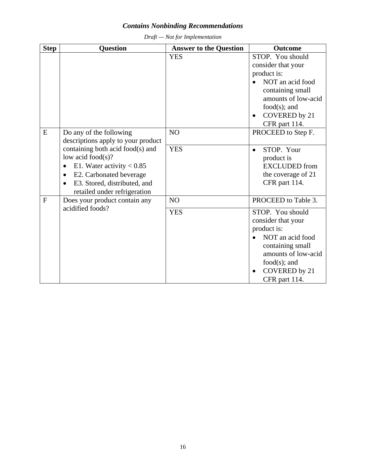| <b>Step</b>    | <b>Question</b>                                                                                                                                                                                                                                                                             | <b>Answer to the Question</b> | <b>Outcome</b>                                                                                                                                                                               |
|----------------|---------------------------------------------------------------------------------------------------------------------------------------------------------------------------------------------------------------------------------------------------------------------------------------------|-------------------------------|----------------------------------------------------------------------------------------------------------------------------------------------------------------------------------------------|
|                |                                                                                                                                                                                                                                                                                             | <b>YES</b>                    | STOP. You should<br>consider that your<br>product is:<br>NOT an acid food<br>containing small<br>amounts of low-acid<br>$food(s);$ and<br><b>COVERED</b> by 21<br>$\bullet$<br>CFR part 114. |
| E              | Do any of the following<br>descriptions apply to your product<br>containing both acid food(s) and<br>low acid food $(s)$ ?<br>E1. Water activity $< 0.85$<br>$\bullet$<br>E2. Carbonated beverage<br>$\bullet$<br>E3. Stored, distributed, and<br>$\bullet$<br>retailed under refrigeration | NO<br><b>YES</b>              | PROCEED to Step F.<br>STOP. Your<br>product is<br><b>EXCLUDED</b> from<br>the coverage of 21<br>CFR part 114.                                                                                |
| $\overline{F}$ | Does your product contain any<br>acidified foods?                                                                                                                                                                                                                                           | N <sub>O</sub><br><b>YES</b>  | PROCEED to Table 3.<br>STOP. You should<br>consider that your                                                                                                                                |
|                |                                                                                                                                                                                                                                                                                             |                               | product is:<br>NOT an acid food<br>containing small<br>amounts of low-acid<br>$food(s);$ and<br><b>COVERED</b> by 21<br>$\bullet$<br>CFR part 114.                                           |

*Draft — Not for Implementation*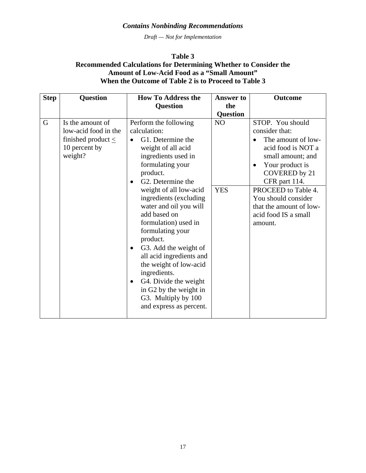*Draft — Not for Implementation* 

#### **Table 3 Recommended Calculations for Determining Whether to Consider the Amount of Low-Acid Food as a "Small Amount" When the Outcome of Table 2 is to Proceed to Table 3**

| <b>Step</b> | <b>Question</b>         | <b>How To Address the</b>                       | <b>Answer to</b> | <b>Outcome</b>                  |
|-------------|-------------------------|-------------------------------------------------|------------------|---------------------------------|
|             |                         | <b>Question</b>                                 | the              |                                 |
|             |                         |                                                 | <b>Question</b>  |                                 |
| G           | Is the amount of        | Perform the following                           | N <sub>O</sub>   | STOP. You should                |
|             | low-acid food in the    | calculation:                                    |                  | consider that:                  |
|             | finished product $\leq$ | G1. Determine the                               |                  | The amount of low-<br>$\bullet$ |
|             | 10 percent by           | weight of all acid                              |                  | acid food is NOT a              |
|             | weight?                 | ingredients used in                             |                  | small amount; and               |
|             |                         | formulating your                                |                  | Your product is<br>$\bullet$    |
|             |                         | product.                                        |                  | COVERED by 21                   |
|             |                         | G2. Determine the<br>$\bullet$                  |                  | CFR part 114.                   |
|             |                         | weight of all low-acid                          | <b>YES</b>       | PROCEED to Table 4.             |
|             |                         | ingredients (excluding                          |                  | You should consider             |
|             |                         | water and oil you will                          |                  | that the amount of low-         |
|             |                         | add based on                                    |                  | acid food IS a small            |
|             |                         | formulation) used in                            |                  | amount.                         |
|             |                         | formulating your                                |                  |                                 |
|             |                         | product.                                        |                  |                                 |
|             |                         | G <sub>3</sub> . Add the weight of<br>$\bullet$ |                  |                                 |
|             |                         | all acid ingredients and                        |                  |                                 |
|             |                         | the weight of low-acid                          |                  |                                 |
|             |                         | ingredients.                                    |                  |                                 |
|             |                         | G4. Divide the weight<br>$\bullet$              |                  |                                 |
|             |                         | in G2 by the weight in<br>G3. Multiply by 100   |                  |                                 |
|             |                         | and express as percent.                         |                  |                                 |
|             |                         |                                                 |                  |                                 |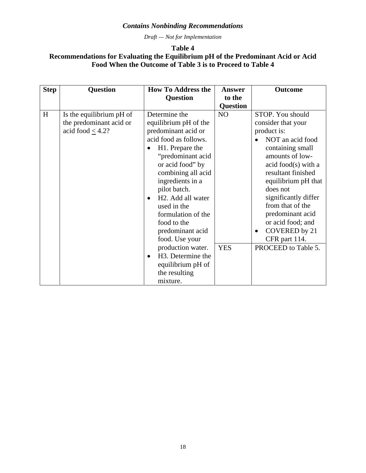*Draft — Not for Implementation* 

## **Table 4 Recommendations for Evaluating the Equilibrium pH of the Predominant Acid or Acid Food When the Outcome of Table 3 is to Proceed to Table 4**

| <b>Step</b> | <b>Question</b>                                                              | <b>How To Address the</b>                                                                                                                                                                                                                                                                                                                                                                                                                                       | <b>Answer</b>    | <b>Outcome</b>                                                                                                                                                                                                                                                                                                                                              |
|-------------|------------------------------------------------------------------------------|-----------------------------------------------------------------------------------------------------------------------------------------------------------------------------------------------------------------------------------------------------------------------------------------------------------------------------------------------------------------------------------------------------------------------------------------------------------------|------------------|-------------------------------------------------------------------------------------------------------------------------------------------------------------------------------------------------------------------------------------------------------------------------------------------------------------------------------------------------------------|
|             |                                                                              | <b>Question</b>                                                                                                                                                                                                                                                                                                                                                                                                                                                 | to the           |                                                                                                                                                                                                                                                                                                                                                             |
|             |                                                                              |                                                                                                                                                                                                                                                                                                                                                                                                                                                                 | <b>Question</b>  |                                                                                                                                                                                                                                                                                                                                                             |
| H           | Is the equilibrium pH of<br>the predominant acid or<br>acid food $\leq$ 4.2? | Determine the<br>equilibrium pH of the<br>predominant acid or<br>acid food as follows.<br>H1. Prepare the<br>$\bullet$<br>"predominant acid<br>or acid food" by<br>combining all acid<br>ingredients in a<br>pilot batch.<br>H <sub>2</sub> . Add all water<br>$\bullet$<br>used in the<br>formulation of the<br>food to the<br>predominant acid<br>food. Use your<br>production water.<br>H3. Determine the<br>$\bullet$<br>equilibrium pH of<br>the resulting | NO<br><b>YES</b> | STOP. You should<br>consider that your<br>product is:<br>NOT an acid food<br>containing small<br>amounts of low-<br>acid food(s) with a<br>resultant finished<br>equilibrium pH that<br>does not<br>significantly differ<br>from that of the<br>predominant acid<br>or acid food; and<br>COVERED by 21<br>$\bullet$<br>CFR part 114.<br>PROCEED to Table 5. |
|             |                                                                              | mixture.                                                                                                                                                                                                                                                                                                                                                                                                                                                        |                  |                                                                                                                                                                                                                                                                                                                                                             |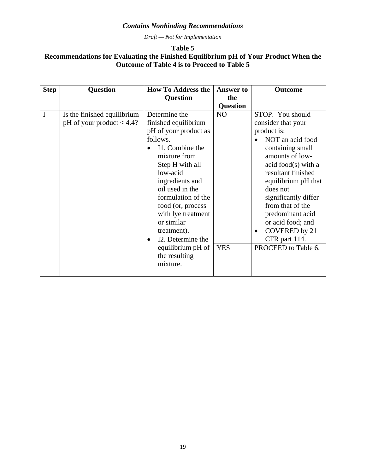*Draft — Not for Implementation* 

# **Table 5 Recommendations for Evaluating the Finished Equilibrium pH of Your Product When the Outcome of Table 4 is to Proceed to Table 5**

| <b>Step</b> | <b>Question</b>                                                | <b>How To Address the</b>                                                                                                                                                                                                                                                                                                               | <b>Answer to</b>             | Outcome                                                                                                                                                                                                                                                                                                                                                     |
|-------------|----------------------------------------------------------------|-----------------------------------------------------------------------------------------------------------------------------------------------------------------------------------------------------------------------------------------------------------------------------------------------------------------------------------------|------------------------------|-------------------------------------------------------------------------------------------------------------------------------------------------------------------------------------------------------------------------------------------------------------------------------------------------------------------------------------------------------------|
|             |                                                                | <b>Question</b>                                                                                                                                                                                                                                                                                                                         | the                          |                                                                                                                                                                                                                                                                                                                                                             |
|             |                                                                |                                                                                                                                                                                                                                                                                                                                         | <b>Question</b>              |                                                                                                                                                                                                                                                                                                                                                             |
| I           | Is the finished equilibrium<br>pH of your product $\leq 4.4$ ? | Determine the<br>finished equilibrium<br>pH of your product as<br>follows.<br>I1. Combine the<br>mixture from<br>Step H with all<br>low-acid<br>ingredients and<br>oil used in the<br>formulation of the<br>food (or, process<br>with lye treatment<br>or similar<br>treatment).<br>I2. Determine the<br>$\bullet$<br>equilibrium pH of | N <sub>O</sub><br><b>YES</b> | STOP. You should<br>consider that your<br>product is:<br>NOT an acid food<br>containing small<br>amounts of low-<br>acid food(s) with a<br>resultant finished<br>equilibrium pH that<br>does not<br>significantly differ<br>from that of the<br>predominant acid<br>or acid food; and<br>COVERED by 21<br>$\bullet$<br>CFR part 114.<br>PROCEED to Table 6. |
|             |                                                                | the resulting<br>mixture.                                                                                                                                                                                                                                                                                                               |                              |                                                                                                                                                                                                                                                                                                                                                             |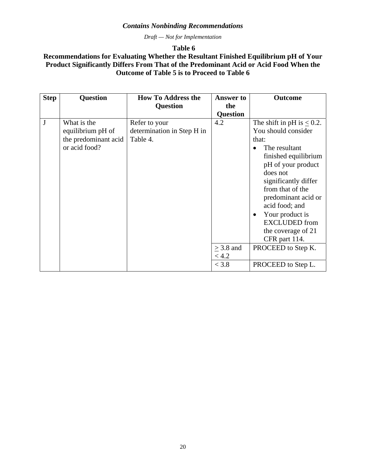*Draft — Not for Implementation* 

 **Table 6** 

# **Recommendations for Evaluating Whether the Resultant Finished Equilibrium pH of Your Product Significantly Differs From That of the Predominant Acid or Acid Food When the Outcome of Table 5 is to Proceed to Table 6**

| <b>Step</b> | <b>Question</b>                                                           | <b>How To Address the</b>                               | <b>Answer to</b>        | <b>Outcome</b>                                                                                                                                                                                                                                                             |
|-------------|---------------------------------------------------------------------------|---------------------------------------------------------|-------------------------|----------------------------------------------------------------------------------------------------------------------------------------------------------------------------------------------------------------------------------------------------------------------------|
|             |                                                                           | <b>Question</b>                                         | the                     |                                                                                                                                                                                                                                                                            |
|             |                                                                           |                                                         | <b>Question</b>         |                                                                                                                                                                                                                                                                            |
| J           | What is the<br>equilibrium pH of<br>the predominant acid<br>or acid food? | Refer to your<br>determination in Step H in<br>Table 4. | 4.2                     | The shift in pH is $\leq 0.2$ .<br>You should consider<br>that:<br>The resultant<br>finished equilibrium<br>pH of your product<br>does not<br>significantly differ<br>from that of the<br>predominant acid or<br>acid food; and<br>Your product is<br><b>EXCLUDED</b> from |
|             |                                                                           |                                                         |                         | the coverage of 21<br>CFR part 114.                                                                                                                                                                                                                                        |
|             |                                                                           |                                                         | $\geq$ 3.8 and<br>< 4.2 | PROCEED to Step K.                                                                                                                                                                                                                                                         |
|             |                                                                           |                                                         | < 3.8                   | PROCEED to Step L.                                                                                                                                                                                                                                                         |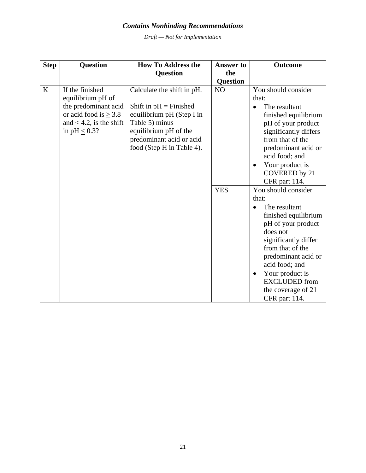*Draft — Not for Implementation* 

| <b>Step</b> | <b>Question</b>                                                                                                                                | <b>How To Address the</b>                                                                                                                                                                | <b>Answer to</b> | <b>Outcome</b>                                                                                                                                                                                                                                                                                           |
|-------------|------------------------------------------------------------------------------------------------------------------------------------------------|------------------------------------------------------------------------------------------------------------------------------------------------------------------------------------------|------------------|----------------------------------------------------------------------------------------------------------------------------------------------------------------------------------------------------------------------------------------------------------------------------------------------------------|
|             |                                                                                                                                                | <b>Question</b>                                                                                                                                                                          | the              |                                                                                                                                                                                                                                                                                                          |
|             |                                                                                                                                                |                                                                                                                                                                                          | <b>Question</b>  |                                                                                                                                                                                                                                                                                                          |
| K           | If the finished<br>equilibrium pH of<br>the predominant acid<br>or acid food is $\geq$ 3.8<br>and $< 4.2$ , is the shift<br>in $pH \leq 0.3$ ? | Calculate the shift in pH.<br>Shift in $pH = F$ inished<br>equilibrium pH (Step I in<br>Table 5) minus<br>equilibrium pH of the<br>predominant acid or acid<br>food (Step H in Table 4). | N <sub>O</sub>   | You should consider<br>that:<br>The resultant<br>$\bullet$<br>finished equilibrium<br>pH of your product<br>significantly differs<br>from that of the<br>predominant acid or<br>acid food; and<br>Your product is<br>$\bullet$<br><b>COVERED</b> by 21<br>CFR part 114.                                  |
|             |                                                                                                                                                |                                                                                                                                                                                          | <b>YES</b>       | You should consider<br>that:<br>The resultant<br>$\bullet$<br>finished equilibrium<br>pH of your product<br>does not<br>significantly differ<br>from that of the<br>predominant acid or<br>acid food; and<br>Your product is<br>$\bullet$<br><b>EXCLUDED</b> from<br>the coverage of 21<br>CFR part 114. |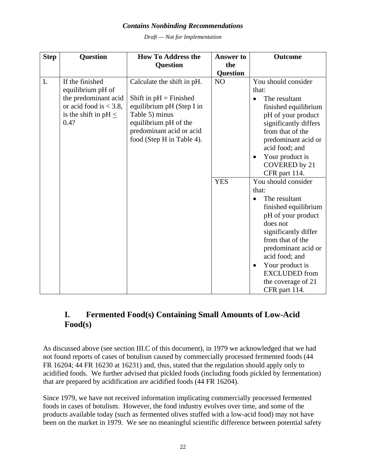*Draft — Not for Implementation* 

<span id="page-24-0"></span>

| <b>Step</b> | Question                  | <b>How To Address the</b>  | <b>Answer to</b> | <b>Outcome</b>               |
|-------------|---------------------------|----------------------------|------------------|------------------------------|
|             |                           | <b>Question</b>            | the              |                              |
|             |                           |                            | <b>Question</b>  |                              |
| $\mathbf L$ | If the finished           | Calculate the shift in pH. | NO               | You should consider          |
|             | equilibrium pH of         |                            |                  | that:                        |
|             | the predominant acid      | Shift in $pH = F$ inished  |                  | The resultant<br>$\bullet$   |
|             | or acid food is $<$ 3.8,  | equilibrium pH (Step I in  |                  | finished equilibrium         |
|             | is the shift in pH $\leq$ | Table 5) minus             |                  | pH of your product           |
|             | 0.4?                      | equilibrium pH of the      |                  | significantly differs        |
|             |                           | predominant acid or acid   |                  | from that of the             |
|             |                           | food (Step H in Table 4).  |                  | predominant acid or          |
|             |                           |                            |                  | acid food; and               |
|             |                           |                            |                  | Your product is<br>$\bullet$ |
|             |                           |                            |                  | COVERED by 21                |
|             |                           |                            |                  | CFR part 114.                |
|             |                           |                            | <b>YES</b>       | You should consider          |
|             |                           |                            |                  | that:                        |
|             |                           |                            |                  | The resultant                |
|             |                           |                            |                  | finished equilibrium         |
|             |                           |                            |                  | pH of your product           |
|             |                           |                            |                  | does not                     |
|             |                           |                            |                  | significantly differ         |
|             |                           |                            |                  | from that of the             |
|             |                           |                            |                  | predominant acid or          |
|             |                           |                            |                  | acid food; and               |
|             |                           |                            |                  | Your product is<br>$\bullet$ |
|             |                           |                            |                  | <b>EXCLUDED</b> from         |
|             |                           |                            |                  | the coverage of 21           |
|             |                           |                            |                  | CFR part 114.                |

# **I. Fermented Food(s) Containing Small Amounts of Low-Acid Food(s)**

As discussed above (see section III.C of this document), in 1979 we acknowledged that we had not found reports of cases of botulism caused by commercially processed fermented foods (44 FR 16204; 44 FR 16230 at 16231) and, thus, stated that the regulation should apply only to acidified foods. We further advised that pickled foods (including foods pickled by fermentation) that are prepared by acidification are acidified foods (44 FR 16204).

Since 1979, we have not received information implicating commercially processed fermented foods in cases of botulism. However, the food industry evolves over time, and some of the products available today (such as fermented olives stuffed with a low-acid food) may not have been on the market in 1979. We see no meaningful scientific difference between potential safety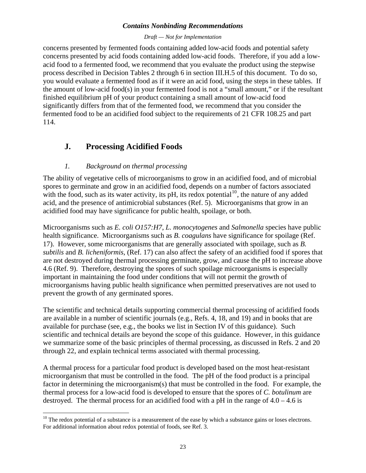#### *Draft — Not for Implementation*

<span id="page-25-0"></span>concerns presented by fermented foods containing added low-acid foods and potential safety concerns presented by acid foods containing added low-acid foods. Therefore, if you add a lowacid food to a fermented food, we recommend that you evaluate the product using the stepwise process described in Decision Tables 2 through 6 in section III.H.5 of this document. To do so, you would evaluate a fermented food as if it were an acid food, using the steps in these tables. If the amount of low-acid food(s) in your fermented food is not a "small amount," or if the resultant finished equilibrium pH of your product containing a small amount of low-acid food significantly differs from that of the fermented food, we recommend that you consider the fermented food to be an acidified food subject to the requirements of 21 CFR 108.25 and part 114.

# **J. Processing Acidified Foods**

# *1. Background on thermal processing*

 $\overline{a}$ 

The ability of vegetative cells of microorganisms to grow in an acidified food, and of microbial spores to germinate and grow in an acidified food, depends on a number of factors associated with the food, such as its water activity, its pH, its redox potential  $10$ , the nature of any added acid, and the presence of antimicrobial substances (Ref. 5). Microorganisms that grow in an acidified food may have significance for public health, spoilage, or both.

Microorganisms such as *E. coli O157:H7*, *L. monocytogenes* and *Salmonella* species have public health significance. Microorganisms such as *B. coagulans* have significance for spoilage (Ref. 17). However, some microorganisms that are generally associated with spoilage, such as *B. subtilis* and *B. licheniformis*, (Ref. 17) can also affect the safety of an acidified food if spores that are not destroyed during thermal processing germinate, grow, and cause the pH to increase above 4.6 (Ref. 9). Therefore, destroying the spores of such spoilage microorganisms is especially important in maintaining the food under conditions that will not permit the growth of microorganisms having public health significance when permitted preservatives are not used to prevent the growth of any germinated spores.

The scientific and technical details supporting commercial thermal processing of acidified foods are available in a number of scientific journals (e.g., Refs. 4, 18, and 19) and in books that are available for purchase (see, e.g., the books we list in Section IV of this guidance). Such scientific and technical details are beyond the scope of this guidance. However, in this guidance we summarize some of the basic principles of thermal processing, as discussed in Refs. 2 and 20 through 22, and explain technical terms associated with thermal processing.

A thermal process for a particular food product is developed based on the most heat-resistant microorganism that must be controlled in the food. The pH of the food product is a principal factor in determining the microorganism(s) that must be controlled in the food. For example, the thermal process for a low-acid food is developed to ensure that the spores of *C. botulinum* are destroyed. The thermal process for an acidified food with a pH in the range of  $4.0 - 4.6$  is

<span id="page-25-1"></span> $10$  The redox potential of a substance is a measurement of the ease by which a substance gains or loses electrons. For additional information about redox potential of foods, see Ref. 3.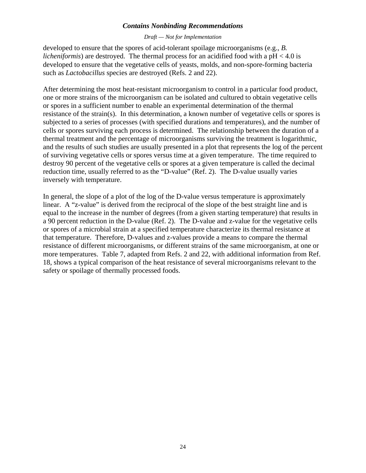#### *Draft — Not for Implementation*

developed to ensure that the spores of acid-tolerant spoilage microorganisms (e.g., *B. licheniformis*) are destroyed. The thermal process for an acidified food with a pH < 4.0 is developed to ensure that the vegetative cells of yeasts, molds, and non-spore-forming bacteria such as *Lactobacillus* species are destroyed (Refs. 2 and 22).

After determining the most heat-resistant microorganism to control in a particular food product, one or more strains of the microorganism can be isolated and cultured to obtain vegetative cells or spores in a sufficient number to enable an experimental determination of the thermal resistance of the strain(s). In this determination, a known number of vegetative cells or spores is subjected to a series of processes (with specified durations and temperatures), and the number of cells or spores surviving each process is determined. The relationship between the duration of a thermal treatment and the percentage of microorganisms surviving the treatment is logarithmic, and the results of such studies are usually presented in a plot that represents the log of the percent of surviving vegetative cells or spores versus time at a given temperature. The time required to destroy 90 percent of the vegetative cells or spores at a given temperature is called the decimal reduction time, usually referred to as the "D-value" (Ref. 2). The D-value usually varies inversely with temperature.

In general, the slope of a plot of the log of the D-value versus temperature is approximately linear. A "z-value" is derived from the reciprocal of the slope of the best straight line and is equal to the increase in the number of degrees (from a given starting temperature) that results in a 90 percent reduction in the D-value (Ref. 2). The D-value and z-value for the vegetative cells or spores of a microbial strain at a specified temperature characterize its thermal resistance at that temperature. Therefore, D-values and z-values provide a means to compare the thermal resistance of different microorganisms, or different strains of the same microorganism, at one or more temperatures. Table 7, adapted from Refs. 2 and 22, with additional information from Ref. 18, shows a typical comparison of the heat resistance of several microorganisms relevant to the safety or spoilage of thermally processed foods.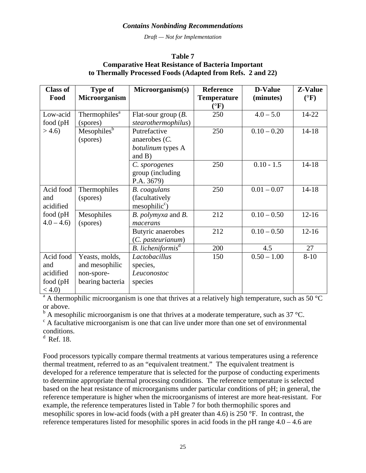*Draft — Not for Implementation* 

#### **Table 7 Comparative Heat Resistance of Bacteria Important to Thermally Processed Foods (Adapted from Refs. 2 and 22)**

| <b>Class of</b> | <b>Type of</b>            | Microorganism(s)              | <b>Reference</b>   | <b>D-Value</b> | <b>Z-Value</b>  |
|-----------------|---------------------------|-------------------------------|--------------------|----------------|-----------------|
| Food            | <b>Microorganism</b>      |                               | <b>Temperature</b> | (minutes)      | $({}^{\circ}F)$ |
|                 |                           |                               | $({}^{\circ}F)$    |                |                 |
| Low-acid        | Thermophiles <sup>a</sup> | Flat-sour group $(B.$         | 250                | $4.0 - 5.0$    | 14-22           |
| food (pH        | (spores)                  | stearothermophilus)           |                    |                |                 |
| >4.6            | Mesophilesb               | Putrefactive                  | 250                | $0.10 - 0.20$  | $14 - 18$       |
|                 | (spores)                  | anaerobes $(C.$               |                    |                |                 |
|                 |                           | botulinum types A             |                    |                |                 |
|                 |                           | and $B$ )                     |                    |                |                 |
|                 |                           | C. sporogenes                 | 250                | $0.10 - 1.5$   | $14 - 18$       |
|                 |                           | group (including              |                    |                |                 |
|                 |                           | P.A. 3679)                    |                    |                |                 |
| Acid food       | Thermophiles              | <b>B.</b> coagulans           | 250                | $0.01 - 0.07$  | $14 - 18$       |
| and             | (spores)                  | (facultatively                |                    |                |                 |
| acidified       |                           | $mesophilic^c$                |                    |                |                 |
| food (pH        | Mesophiles                | B. polymyxa and B.            | 212                | $0.10 - 0.50$  | $12 - 16$       |
| $4.0 - 4.6$     | (spores)                  | macerans                      |                    |                |                 |
|                 |                           | Butyric anaerobes             | 212                | $0.10 - 0.50$  | $12 - 16$       |
|                 |                           | (C. pasteurianum)             |                    |                |                 |
|                 |                           | B. licheniformis <sup>d</sup> | 200                | 4.5            | 27              |
| Acid food       | Yeasts, molds,            | Lactobacillus                 | 150                | $0.50 - 1.00$  | $8 - 10$        |
| and             | and mesophilic            | species,                      |                    |                |                 |
| acidified       | non-spore-                | Leuconostoc                   |                    |                |                 |
| food (pH        | bearing bacteria          | species                       |                    |                |                 |
| $< 4.0$ )       |                           |                               |                    |                |                 |

 $a<sup>a</sup>$  A thermophilic microorganism is one that thrives at a relatively high temperature, such as 50 °C or above.

 $b^b$  A mesophilic microorganism is one that thrives at a moderate temperature, such as 37 °C.

 $\epsilon$  A facultative microorganism is one that can live under more than one set of environmental conditions.

 $d$  Ref. 18.

Food processors typically compare thermal treatments at various temperatures using a reference thermal treatment, referred to as an "equivalent treatment." The equivalent treatment is developed for a reference temperature that is selected for the purpose of conducting experiments to determine appropriate thermal processing conditions. The reference temperature is selected based on the heat resistance of microorganisms under particular conditions of pH; in general, the reference temperature is higher when the microorganisms of interest are more heat-resistant. For example, the reference temperatures listed in Table 7 for both thermophilic spores and mesophilic spores in low-acid foods (with a pH greater than 4.6) is 250 °F. In contrast, the reference temperatures listed for mesophilic spores in acid foods in the pH range 4.0 – 4.6 are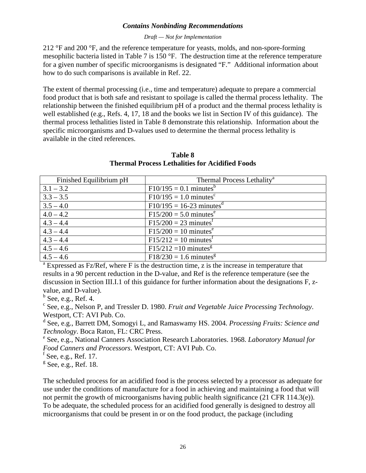#### *Draft — Not for Implementation*

212  $\degree$ F and 200  $\degree$ F, and the reference temperature for yeasts, molds, and non-spore-forming mesophilic bacteria listed in Table 7 is 150 °F. The destruction time at the reference temperature for a given number of specific microorganisms is designated "F." Additional information about how to do such comparisons is available in Ref. 22.

The extent of thermal processing (i.e., time and temperature) adequate to prepare a commercial food product that is both safe and resistant to spoilage is called the thermal process lethality. The relationship between the finished equilibrium pH of a product and the thermal process lethality is well established (e.g., Refs. 4, 17, 18 and the books we list in Section IV of this guidance). The thermal process lethalities listed in Table 8 demonstrate this relationship. Information about the specific microorganisms and D-values used to determine the thermal process lethality is available in the cited references.

| Finished Equilibrium pH | Thermal Process Lethality <sup>a</sup> |
|-------------------------|----------------------------------------|
| $3.1 - 3.2$             | $F10/195 = 0.1$ minutes <sup>b</sup>   |
| $3.3 - 3.5$             | $F10/195 = 1.0$ minutes <sup>c</sup>   |
| $3.5 - 4.0$             | $F10/195 = 16-23$ minutes <sup>d</sup> |
| $4.0 - 4.2$             | $F15/200 = 5.0$ minutes <sup>e</sup>   |
| $4.3 - 4.4$             | $F15/200 = 23$ minutes <sup>t</sup>    |
| $4.3 - 4.4$             | $F15/200 = 10$ minutes <sup>e</sup>    |
| $4.3 - 4.4$             | $F15/212 = 10$ minutes <sup>t</sup>    |
| $4.5 - 4.6$             | $F15/212 = 10$ minutes <sup>g</sup>    |
| $4.5 - 4.6$             | $F18/230 = 1.6$ minutes <sup>g</sup>   |

**Table 8 Thermal Process Lethalities for Acidified Foods** 

<sup>a</sup> Expressed as Fz/Ref, where F is the destruction time, z is the increase in temperature that results in a 90 percent reduction in the D-value, and Ref is the reference temperature (see the discussion in Section III.I.1 of this guidance for further information about the designations F, zvalue, and D-value).

 $<sup>b</sup>$  See, e.g., Ref. 4.</sup>

c See, e.g., Nelson P, and Tressler D. 1980. *Fruit and Vegetable Juice Processing Technology*. Westport, CT: AVI Pub. Co.

d See, e.g., Barrett DM, Somogyi L, and Ramaswamy HS. 2004. *Processing Fruits: Science and Technology*. Boca Raton, FL: CRC Press.

 See, e.g., National Canners Association Research Laboratories. 1968. *Laboratory Manual for Food Canners and Processors*. Westport, CT: AVI Pub. Co.

 $f$  See, e.g., Ref. 17.

 $\frac{g}{s}$  See, e.g., Ref. 18.

The scheduled process for an acidified food is the process selected by a processor as adequate for use under the conditions of manufacture for a food in achieving and maintaining a food that will not permit the growth of microorganisms having public health significance (21 CFR 114.3(e)). To be adequate, the scheduled process for an acidified food generally is designed to destroy all microorganisms that could be present in or on the food product, the package (including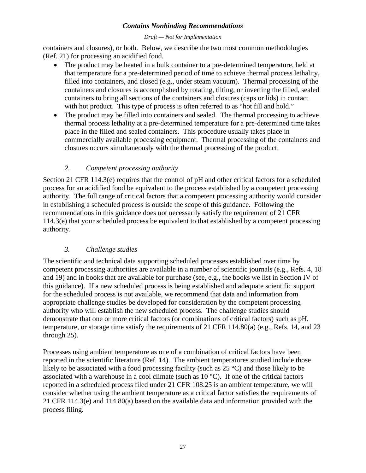#### *Draft — Not for Implementation*

containers and closures), or both. Below, we describe the two most common methodologies (Ref. 21) for processing an acidified food.

- The product may be heated in a bulk container to a pre-determined temperature, held at that temperature for a pre-determined period of time to achieve thermal process lethality, filled into containers, and closed (e.g., under steam vacuum). Thermal processing of the containers and closures is accomplished by rotating, tilting, or inverting the filled, sealed containers to bring all sections of the containers and closures (caps or lids) in contact with hot product. This type of process is often referred to as "hot fill and hold."
- The product may be filled into containers and sealed. The thermal processing to achieve thermal process lethality at a pre-determined temperature for a pre-determined time takes place in the filled and sealed containers. This procedure usually takes place in commercially available processing equipment. Thermal processing of the containers and closures occurs simultaneously with the thermal processing of the product.

# *2. Competent processing authority*

Section 21 CFR 114.3(e) requires that the control of pH and other critical factors for a scheduled process for an acidified food be equivalent to the process established by a competent processing authority. The full range of critical factors that a competent processing authority would consider in establishing a scheduled process is outside the scope of this guidance. Following the recommendations in this guidance does not necessarily satisfy the requirement of 21 CFR 114.3(e) that your scheduled process be equivalent to that established by a competent processing authority.

# *3. Challenge studies*

The scientific and technical data supporting scheduled processes established over time by competent processing authorities are available in a number of scientific journals (e.g., Refs. 4, 18 and 19) and in books that are available for purchase (see, e.g., the books we list in Section IV of this guidance). If a new scheduled process is being established and adequate scientific support for the scheduled process is not available, we recommend that data and information from appropriate challenge studies be developed for consideration by the competent processing authority who will establish the new scheduled process. The challenge studies should demonstrate that one or more critical factors (or combinations of critical factors) such as pH, temperature, or storage time satisfy the requirements of 21 CFR 114.80(a) (e.g., Refs. 14, and 23 through 25).

Processes using ambient temperature as one of a combination of critical factors have been reported in the scientific literature (Ref. 14). The ambient temperatures studied include those likely to be associated with a food processing facility (such as 25 °C) and those likely to be associated with a warehouse in a cool climate (such as  $10^{\circ}$ C). If one of the critical factors reported in a scheduled process filed under 21 CFR 108.25 is an ambient temperature, we will consider whether using the ambient temperature as a critical factor satisfies the requirements of 21 CFR 114.3(e) and 114.80(a) based on the available data and information provided with the process filing.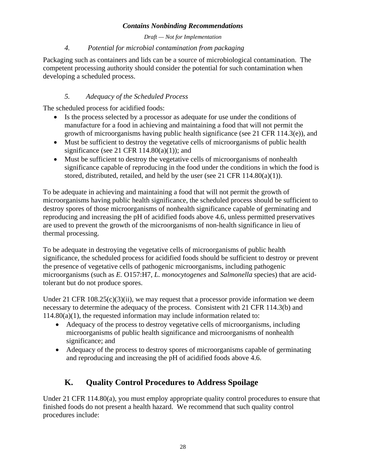*Draft — Not for Implementation* 

# *4. Potential for microbial contamination from packaging*

<span id="page-30-0"></span>Packaging such as containers and lids can be a source of microbiological contamination. The competent processing authority should consider the potential for such contamination when developing a scheduled process.

# *5. Adequacy of the Scheduled Process*

The scheduled process for acidified foods:

- Is the process selected by a processor as adequate for use under the conditions of manufacture for a food in achieving and maintaining a food that will not permit the growth of microorganisms having public health significance (see 21 CFR 114.3(e)), and
- Must be sufficient to destroy the vegetative cells of microorganisms of public health significance (see 21 CFR  $114.80(a)(1)$ ); and
- Must be sufficient to destroy the vegetative cells of microorganisms of nonhealth significance capable of reproducing in the food under the conditions in which the food is stored, distributed, retailed, and held by the user (see 21 CFR  $114.80(a)(1)$ ).

To be adequate in achieving and maintaining a food that will not permit the growth of microorganisms having public health significance, the scheduled process should be sufficient to destroy spores of those microorganisms of nonhealth significance capable of germinating and reproducing and increasing the pH of acidified foods above 4.6, unless permitted preservatives are used to prevent the growth of the microorganisms of non-health significance in lieu of thermal processing.

To be adequate in destroying the vegetative cells of microorganisms of public health significance, the scheduled process for acidified foods should be sufficient to destroy or prevent the presence of vegetative cells of pathogenic microorganisms, including pathogenic microorganisms (such as *E.* O157:H7, *L. monocytogenes* and *Salmonella* species) that are acidtolerant but do not produce spores.

Under 21 CFR  $108.25(c)(3)(ii)$ , we may request that a processor provide information we deem necessary to determine the adequacy of the process. Consistent with 21 CFR 114.3(b) and 114.80(a)(1), the requested information may include information related to:

- Adequacy of the process to destroy vegetative cells of microorganisms, including microorganisms of public health significance and microorganisms of nonhealth significance; and
- Adequacy of the process to destroy spores of microorganisms capable of germinating and reproducing and increasing the pH of acidified foods above 4.6.

# **K. Quality Control Procedures to Address Spoilage**

Under 21 CFR 114.80(a), you must employ appropriate quality control procedures to ensure that finished foods do not present a health hazard. We recommend that such quality control procedures include: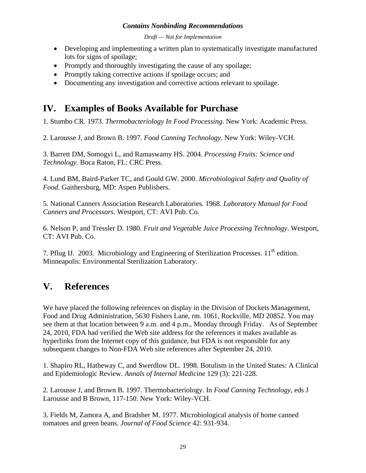*Draft — Not for Implementation* 

- <span id="page-31-0"></span>• Developing and implementing a written plan to systematically investigate manufactured lots for signs of spoilage;
- Promptly and thoroughly investigating the cause of any spoilage;
- Promptly taking corrective actions if spoilage occurs; and
- Documenting any investigation and corrective actions relevant to spoilage.

# **IV. Examples of Books Available for Purchase**

1. Stumbo CR. 1973. *Thermobacteriology In Food Processing*. New York: Academic Press.

2. Larousse J, and Brown B. 1997. *Food Canning Technology*. New York: Wiley-VCH.

3. Barrett DM, Somogyi L, and Ramaswamy HS. 2004. *Processing Fruits: Science and Technology*. Boca Raton, FL: CRC Press.

4. Lund BM, Baird-Parker TC, and Gould GW. 2000. *Microbiological Safety and Quality of Food*. Gaithersburg, MD: Aspen Publishers.

5. National Canners Association Research Laboratories. 1968. *Laboratory Manual for Food Canners and Processors*. Westport, CT: AVI Pub. Co.

6. Nelson P, and Tressler D. 1980. *Fruit and Vegetable Juice Processing Technology*. Westport, CT: AVI Pub. Co.

7. Pflug IJ. 2003. Microbiology and Engineering of Sterilization Processes.  $11<sup>th</sup>$  edition. Minneapolis: Environmental Sterilization Laboratory.

# **V. References**

We have placed the following references on display in the Division of Dockets Management, Food and Drug Administration, 5630 Fishers Lane, rm. 1061, Rockville, MD 20852. You may see them at that location between 9 a.m. and 4 p.m., Monday through Friday. As of September 24, 2010, FDA had verified the Web site address for the references it makes available as hyperlinks from the Internet copy of this guidance, but FDA is not responsible for any subsequent changes to Non-FDA Web site references after September 24, 2010.

1. Shapiro RL, Hatheway C, and Swerdlow DL. 1998. Botulism in the United States: A Clinical and Epidemiologic Review. *Annals of Internal Medicine* 129 (3): 221-228.

2. Larousse J, and Brown B. 1997. Thermobacteriology. In *Food Canning Technology*, eds J Larousse and B Brown, 117-150. New York: Wiley-VCH.

3. Fields M, Zamora A, and Bradsher M. 1977. Microbiological analysis of home canned tomatoes and green beans. *Journal of Food Science* 42: 931-934.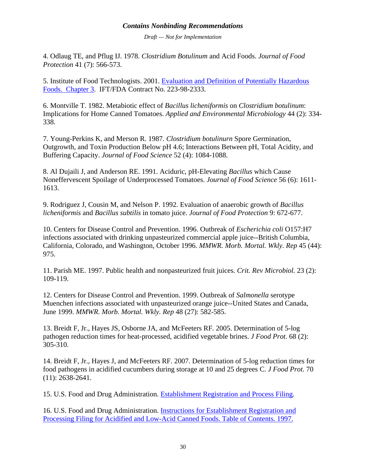*Draft — Not for Implementation* 

4. Odlaug TE, and Pflug IJ. 1978. *Clostridium Botulinum* and Acid Foods. *Journal of Food Protection* 41 (7): 566-573.

5. Institute of Food Technologists. 2001. [Evaluation and Definition of Potentially Hazardous](http://www.fda.gov/Food/ScienceResearch/ResearchAreas/SafePracticesforFoodProcesses/ucm094145.htm)  [Foods. Chapter 3](http://www.fda.gov/Food/ScienceResearch/ResearchAreas/SafePracticesforFoodProcesses/ucm094145.htm). IFT/FDA Contract No. 223-98-2333.

6. Montville T. 1982. Metabiotic effect of *Bacillus licheniformis* on *Clostridium botulinum*: Implications for Home Canned Tomatoes. *Applied and Environmental Microbiology* 44 (2): 334- 338.

7. Young-Perkins K, and Merson R. 1987. *Clostridium botulinurn* Spore Germination, Outgrowth, and Toxin Production Below pH 4.6; Interactions Between pH, Total Acidity, and Buffering Capacity. *Journal of Food Science* 52 (4): 1084-1088.

8. Al Dujaili J, and Anderson RE. 1991. Aciduric, pH-Elevating *Bacillus* which Cause Noneffervescent Spoilage of Underprocessed Tomatoes. *Journal of Food Science* 56 (6): 1611- 1613.

9. Rodriguez J, Cousin M, and Nelson P. 1992. Evaluation of anaerobic growth of *Bacillus licheniformis* and *Bacillus subtilis* in tomato juice. *Journal of Food Protection* 9: 672-677.

10. Centers for Disease Control and Prevention. 1996. Outbreak of *Escherichia coli* O157:H7 infections associated with drinking unpasteurized commercial apple juice--British Columbia, California, Colorado, and Washington, October 1996. *MMWR. Morb. Mortal. Wkly. Rep* 45 (44): 975.

11. Parish ME. 1997. Public health and nonpasteurized fruit juices. *Crit. Rev Microbiol.* 23 (2): 109-119.

12. Centers for Disease Control and Prevention. 1999. Outbreak of *Salmonella* serotype Muenchen infections associated with unpasteurized orange juice--United States and Canada, June 1999. *MMWR. Morb. Mortal. Wkly. Rep* 48 (27): 582-585.

13. Breidt F, Jr., Hayes JS, Osborne JA, and McFeeters RF. 2005. Determination of 5-log pathogen reduction times for heat-processed, acidified vegetable brines. *J Food Prot.* 68 (2): 305-310.

14. Breidt F, Jr., Hayes J, and McFeeters RF. 2007. Determination of 5-log reduction times for food pathogens in acidified cucumbers during storage at 10 and 25 degrees C. *J Food Prot.* 70 (11): 2638-2641.

15. U.S. Food and Drug Administration. [Establishment Registration and Process Filing.](http://www.fda.gov/Food/FoodSafety/Product-SpecificInformation/AcidifiedLow-AcidCannedFoods/EstablishmentRegistrationThermalProcessFiling/default.htm)

16. U.S. Food and Drug Administration. [Instructions for Establishment Registration and](http://www.fda.gov/Food/FoodSafety/Product-SpecificInformation/AcidifiedLow-AcidCannedFoods/EstablishmentRegistrationThermalProcessFiling/Instructions/default.htm)  [Processing Filing for Acidified and Low-Acid Canned Foods. Table of Contents. 1997.](http://www.fda.gov/Food/FoodSafety/Product-SpecificInformation/AcidifiedLow-AcidCannedFoods/EstablishmentRegistrationThermalProcessFiling/Instructions/default.htm)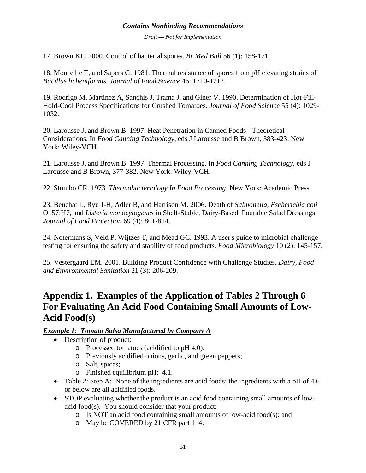*Draft — Not for Implementation* 

<span id="page-33-0"></span>17. Brown KL. 2000. Control of bacterial spores. *Br Med Bull* 56 (1): 158-171.

18. Montville T, and Sapers G. 1981. Thermal resistance of spores from pH elevating strains of *Bacillus licheniformis*. *Journal of Food Science* 46: 1710-1712.

19. Rodrigo M, Martinez A, Sanchis J, Trama J, and Giner V. 1990. Determination of Hot-Fill-Hold-Cool Process Specifications for Crushed Tomatoes. *Journal of Food Science* 55 (4): 1029- 1032.

20. Larousse J, and Brown B. 1997. Heat Penetration in Canned Foods - Theoretical Considerations. In *Food Canning Technology*, eds J Larousse and B Brown, 383-423. New York: Wiley-VCH.

21. Larousse J, and Brown B. 1997. Thermal Processing. In *Food Canning Technology*, eds J Larousse and B Brown, 377-382. New York: Wiley-VCH.

22. Stumbo CR. 1973. *Thermobacteriology In Food Processing*. New York: Academic Press.

23. Beuchat L, Ryu J-H, Adler B, and Harrison M. 2006. Death of *Salmonella*, *Escherichia coli* O157:H7, and *Listeria monocytogenes* in Shelf-Stable, Dairy-Based, Pourable Salad Dressings. *Journal of Food Protection* 69 (4): 801-814.

24. Notermans S, Veld P, Wijtzes T, and Mead GC. 1993. A user's guide to microbial challenge testing for ensuring the safety and stability of food products. *Food Microbiology* 10 (2): 145-157.

25. Vestergaard EM. 2001. Building Product Confidence with Challenge Studies. *Dairy, Food and Environmental Sanitation* 21 (3): 206-209.

# **Appendix 1. Examples of the Application of Tables 2 Through 6 For Evaluating An Acid Food Containing Small Amounts of Low-Acid Food(s)**

# *Example 1: Tomato Salsa Manufactured by Company A*

- Description of product:
	- o Processed tomatoes (acidified to pH 4.0);
	- o Previously acidified onions, garlic, and green peppers;
	- o Salt, spices;
	- o Finished equilibrium pH: 4.1.
- Table 2: Step A: None of the ingredients are acid foods; the ingredients with a pH of 4.6 or below are all acidified foods.
- STOP evaluating whether the product is an acid food containing small amounts of lowacid food(s). You should consider that your product:
	- o Is NOT an acid food containing small amounts of low-acid food(s); and
	- o May be COVERED by 21 CFR part 114.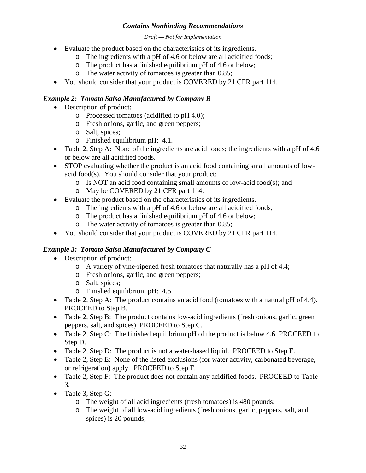#### *Draft — Not for Implementation*

- Evaluate the product based on the characteristics of its ingredients.
	- o The ingredients with a pH of 4.6 or below are all acidified foods;
	- o The product has a finished equilibrium pH of 4.6 or below;
	- o The water activity of tomatoes is greater than 0.85;
- You should consider that your product is COVERED by 21 CFR part 114.

# *Example 2: Tomato Salsa Manufactured by Company B*

- Description of product:
	- o Processed tomatoes (acidified to pH 4.0);
	- o Fresh onions, garlic, and green peppers;
	- o Salt, spices;
	- o Finished equilibrium pH: 4.1.
- Table 2, Step A: None of the ingredients are acid foods; the ingredients with a pH of 4.6 or below are all acidified foods.
- STOP evaluating whether the product is an acid food containing small amounts of lowacid food(s). You should consider that your product:
	- o Is NOT an acid food containing small amounts of low-acid food(s); and
	- o May be COVERED by 21 CFR part 114.
- Evaluate the product based on the characteristics of its ingredients.
	- o The ingredients with a pH of 4.6 or below are all acidified foods;
	- o The product has a finished equilibrium pH of 4.6 or below;
	- o The water activity of tomatoes is greater than 0.85;
- You should consider that your product is COVERED by 21 CFR part 114.

# *Example 3: Tomato Salsa Manufactured by Company C*

- Description of product:
	- o A variety of vine-ripened fresh tomatoes that naturally has a pH of 4.4;
	- o Fresh onions, garlic, and green peppers;
	- o Salt, spices;
	- o Finished equilibrium pH: 4.5.
- Table 2, Step A: The product contains an acid food (tomatoes with a natural pH of 4.4). PROCEED to Step B.
- Table 2, Step B: The product contains low-acid ingredients (fresh onions, garlic, green peppers, salt, and spices). PROCEED to Step C.
- Table 2, Step C: The finished equilibrium pH of the product is below 4.6. PROCEED to Step D.
- Table 2, Step D: The product is not a water-based liquid. PROCEED to Step E.
- Table 2, Step E: None of the listed exclusions (for water activity, carbonated beverage, or refrigeration) apply. PROCEED to Step F.
- Table 2, Step F: The product does not contain any acidified foods. PROCEED to Table 3.
- Table 3, Step G:
	- o The weight of all acid ingredients (fresh tomatoes) is 480 pounds;
	- o The weight of all low-acid ingredients (fresh onions, garlic, peppers, salt, and spices) is 20 pounds;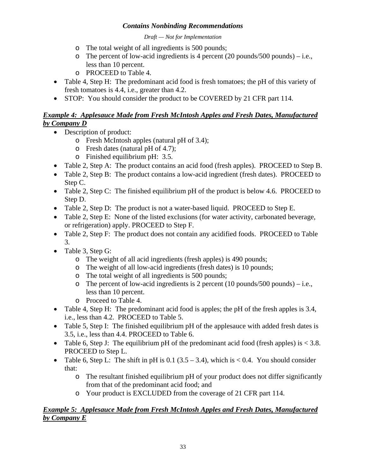*Draft — Not for Implementation* 

- o The total weight of all ingredients is 500 pounds;
- o The percent of low-acid ingredients is 4 percent (20 pounds/500 pounds) i.e., less than 10 percent.
- o PROCEED to Table 4.
- Table 4, Step H: The predominant acid food is fresh tomatoes; the pH of this variety of fresh tomatoes is 4.4, i.e., greater than 4.2.
- STOP: You should consider the product to be COVERED by 21 CFR part 114.

# *Example 4: Applesauce Made from Fresh McIntosh Apples and Fresh Dates, Manufactured by Company D*

- Description of product:
	- o Fresh McIntosh apples (natural pH of 3.4);
	- o Fresh dates (natural pH of 4.7);
	- o Finished equilibrium pH: 3.5.
- Table 2, Step A: The product contains an acid food (fresh apples). PROCEED to Step B.
- Table 2, Step B: The product contains a low-acid ingredient (fresh dates). PROCEED to Step C.
- Table 2, Step C: The finished equilibrium pH of the product is below 4.6. PROCEED to Step D.
- Table 2, Step D: The product is not a water-based liquid. PROCEED to Step E.
- Table 2, Step E: None of the listed exclusions (for water activity, carbonated beverage, or refrigeration) apply. PROCEED to Step F.
- Table 2, Step F: The product does not contain any acidified foods. PROCEED to Table 3.
- Table 3, Step G:
	- o The weight of all acid ingredients (fresh apples) is 490 pounds;
	- o The weight of all low-acid ingredients (fresh dates) is 10 pounds;
	- o The total weight of all ingredients is 500 pounds;
	- o The percent of low-acid ingredients is 2 percent (10 pounds/500 pounds) i.e., less than 10 percent.
	- o Proceed to Table 4.
- Table 4, Step H: The predominant acid food is apples; the pH of the fresh apples is 3.4, i.e., less than 4.2. PROCEED to Table 5.
- Table 5, Step I: The finished equilibrium pH of the applesauce with added fresh dates is 3.5, i.e., less than 4.4. PROCEED to Table 6.
- Table 6, Step J: The equilibrium pH of the predominant acid food (fresh apples) is  $\langle 3.8$ . PROCEED to Step L.
- Table 6, Step L: The shift in pH is 0.1 (3.5 3.4), which is  $< 0.4$ . You should consider that:
	- o The resultant finished equilibrium pH of your product does not differ significantly from that of the predominant acid food; and
	- o Your product is EXCLUDED from the coverage of 21 CFR part 114.

# *Example 5: Applesauce Made from Fresh McIntosh Apples and Fresh Dates, Manufactured by Company E*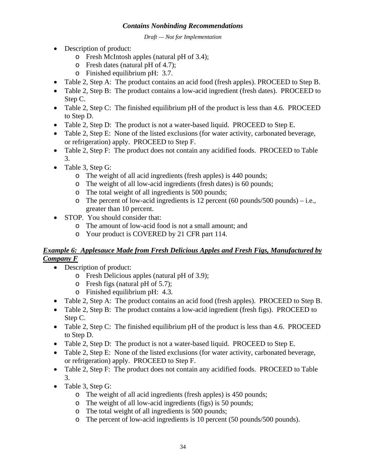*Draft — Not for Implementation* 

- Description of product:
	- o Fresh McIntosh apples (natural pH of 3.4);
	- o Fresh dates (natural pH of 4.7);
	- o Finished equilibrium pH: 3.7.
- Table 2, Step A: The product contains an acid food (fresh apples). PROCEED to Step B.
- Table 2, Step B: The product contains a low-acid ingredient (fresh dates). PROCEED to Step C.
- Table 2, Step C: The finished equilibrium pH of the product is less than 4.6. PROCEED to Step D.
- Table 2, Step D: The product is not a water-based liquid. PROCEED to Step E.
- Table 2, Step E: None of the listed exclusions (for water activity, carbonated beverage, or refrigeration) apply. PROCEED to Step F.
- Table 2, Step F: The product does not contain any acidified foods. PROCEED to Table 3.
- Table 3, Step G:
	- o The weight of all acid ingredients (fresh apples) is 440 pounds;
	- o The weight of all low-acid ingredients (fresh dates) is 60 pounds;
	- o The total weight of all ingredients is 500 pounds;
	- $\circ$  The percent of low-acid ingredients is 12 percent (60 pounds/500 pounds) i.e., greater than 10 percent.
- STOP. You should consider that:
	- o The amount of low-acid food is not a small amount; and
	- o Your product is COVERED by 21 CFR part 114.

# *Example 6: Applesauce Made from Fresh Delicious Apples and Fresh Figs, Manufactured by Company F*

- Description of product:
	- o Fresh Delicious apples (natural pH of 3.9);
	- o Fresh figs (natural pH of 5.7);
	- o Finished equilibrium pH: 4.3.
- Table 2, Step A: The product contains an acid food (fresh apples). PROCEED to Step B.
- Table 2, Step B: The product contains a low-acid ingredient (fresh figs). PROCEED to Step C.
- Table 2, Step C: The finished equilibrium pH of the product is less than 4.6. PROCEED to Step D.
- Table 2, Step D: The product is not a water-based liquid. PROCEED to Step E.
- Table 2, Step E: None of the listed exclusions (for water activity, carbonated beverage, or refrigeration) apply. PROCEED to Step F.
- Table 2, Step F: The product does not contain any acidified foods. PROCEED to Table 3.
- Table 3, Step G:
	- o The weight of all acid ingredients (fresh apples) is 450 pounds;
	- o The weight of all low-acid ingredients (figs) is 50 pounds;
	- o The total weight of all ingredients is 500 pounds;
	- o The percent of low-acid ingredients is 10 percent (50 pounds/500 pounds).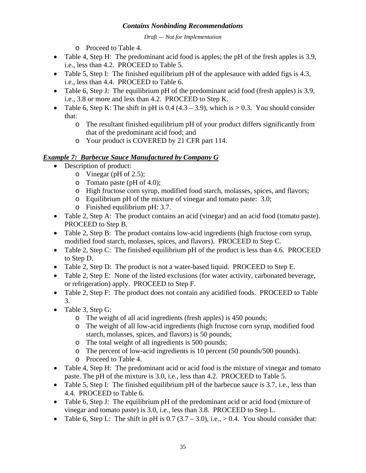*Draft — Not for Implementation* 

o Proceed to Table 4.

- Table 4, Step H: The predominant acid food is apples; the pH of the fresh apples is 3.9, i.e., less than 4.2. PROCEED to Table 5.
- Table 5, Step I: The finished equilibrium pH of the applesauce with added figs is 4.3, i.e., less than 4.4. PROCEED to Table 6.
- Table 6, Step J: The equilibrium pH of the predominant acid food (fresh apples) is 3.9, i.e., 3.8 or more and less than 4.2. PROCEED to Step K.
- Table 6, Step K: The shift in pH is 0.4 (4.3 3.9), which is  $> 0.3$ . You should consider that:
	- o The resultant finished equilibrium pH of your product differs significantly from that of the predominant acid food; and
	- o Your product is COVERED by 21 CFR part 114.

# *Example 7: Barbecue Sauce Manufactured by Company G*

- Description of product:
	- o Vinegar (pH of 2.5);
	- o Tomato paste (pH of 4.0);
	- o High fructose corn syrup, modified food starch, molasses, spices, and flavors;
	- o Equilibrium pH of the mixture of vinegar and tomato paste: 3.0;
	- o Finished equilibrium pH: 3.7.
- Table 2, Step A: The product contains an acid (vinegar) and an acid food (tomato paste). PROCEED to Step B.
- Table 2, Step B: The product contains low-acid ingredients (high fructose corn syrup, modified food starch, molasses, spices, and flavors). PROCEED to Step C.
- Table 2, Step C: The finished equilibrium pH of the product is less than 4.6. PROCEED to Step D.
- Table 2, Step D: The product is not a water-based liquid. PROCEED to Step E.
- Table 2, Step E: None of the listed exclusions (for water activity, carbonated beverage, or refrigeration) apply. PROCEED to Step F.
- Table 2, Step F: The product does not contain any acidified foods. PROCEED to Table 3.
- Table 3, Step G:
	- o The weight of all acid ingredients (fresh apples) is 450 pounds;
	- o The weight of all low-acid ingredients (high fructose corn syrup, modified food starch, molasses, spices, and flavors) is 50 pounds;
	- o The total weight of all ingredients is 500 pounds;
	- o The percent of low-acid ingredients is 10 percent (50 pounds/500 pounds).
	- o Proceed to Table 4.
- Table 4, Step H: The predominant acid or acid food is the mixture of vinegar and tomato paste. The pH of the mixture is 3.0, i.e., less than 4.2. PROCEED to Table 5.
- Table 5, Step I: The finished equilibrium pH of the barbecue sauce is 3.7, i.e., less than 4.4. PROCEED to Table 6.
- Table 6, Step J: The equilibrium pH of the predominant acid or acid food (mixture of vinegar and tomato paste) is 3.0, i.e., less than 3.8. PROCEED to Step L.
- Table 6, Step L: The shift in pH is  $0.7 (3.7 3.0)$ , i.e.,  $> 0.4$ . You should consider that: